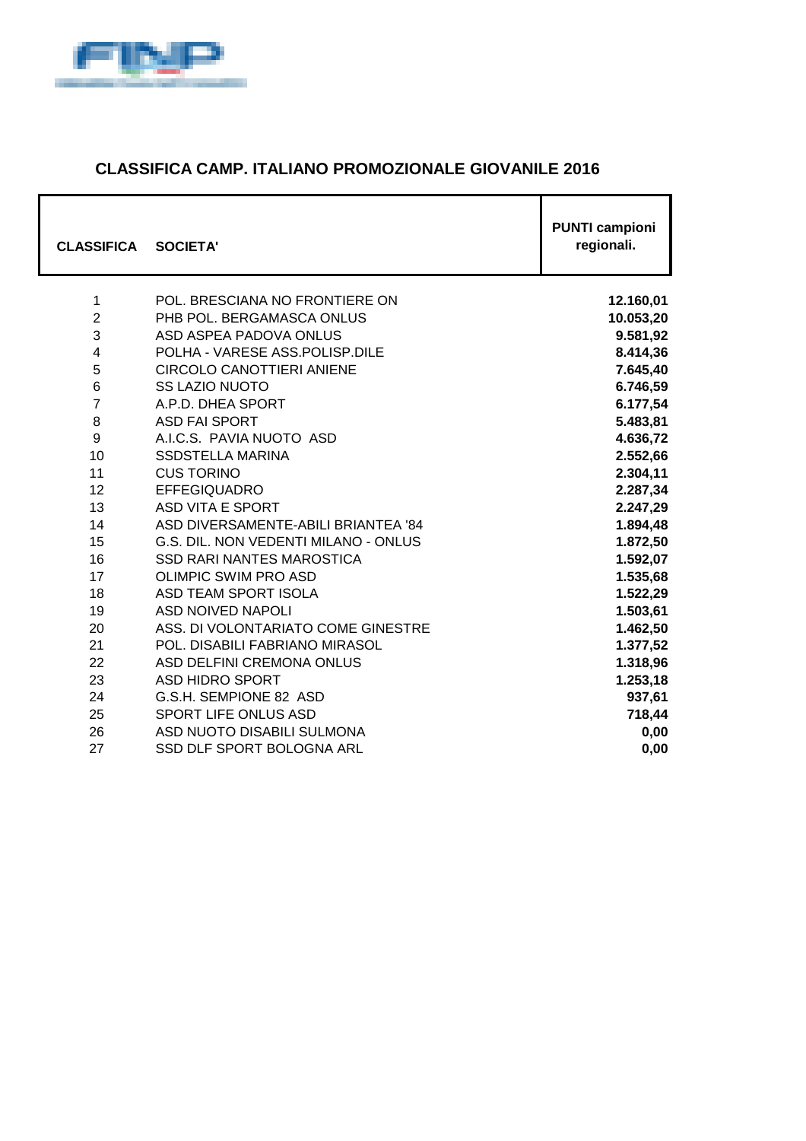

#### **CLASSIFICA CAMP. ITALIANO PROMOZIONALE GIOVANILE 2016**

| <b>CLASSIFICA</b> | <b>SOCIETA'</b>                      | <b>PUNTI campioni</b><br>regionali. |
|-------------------|--------------------------------------|-------------------------------------|
| 1                 | POL. BRESCIANA NO FRONTIERE ON       | 12.160,01                           |
| $\overline{2}$    | PHB POL. BERGAMASCA ONLUS            | 10.053,20                           |
| 3                 | ASD ASPEA PADOVA ONLUS               | 9.581,92                            |
| $\overline{4}$    | POLHA - VARESE ASS.POLISP.DILE       | 8.414,36                            |
| 5                 | <b>CIRCOLO CANOTTIERI ANIENE</b>     | 7.645,40                            |
| $6\phantom{1}6$   | <b>SS LAZIO NUOTO</b>                | 6.746,59                            |
| $\overline{7}$    | A.P.D. DHEA SPORT                    | 6.177,54                            |
| 8                 | <b>ASD FAI SPORT</b>                 | 5.483,81                            |
| 9                 | A.I.C.S. PAVIA NUOTO ASD             | 4.636,72                            |
| 10                | <b>SSDSTELLA MARINA</b>              | 2.552,66                            |
| 11                | <b>CUS TORINO</b>                    | 2.304,11                            |
| 12                | <b>EFFEGIQUADRO</b>                  | 2.287,34                            |
| 13                | ASD VITA E SPORT                     | 2.247,29                            |
| 14                | ASD DIVERSAMENTE-ABILI BRIANTEA '84  | 1.894,48                            |
| 15                | G.S. DIL. NON VEDENTI MILANO - ONLUS | 1.872,50                            |
| 16                | <b>SSD RARI NANTES MAROSTICA</b>     | 1.592,07                            |
| 17                | <b>OLIMPIC SWIM PRO ASD</b>          | 1.535,68                            |
| 18                | ASD TEAM SPORT ISOLA                 | 1.522,29                            |
| 19                | ASD NOIVED NAPOLI                    | 1.503,61                            |
| 20                | ASS. DI VOLONTARIATO COME GINESTRE   | 1.462,50                            |
| 21                | POL. DISABILI FABRIANO MIRASOL       | 1.377,52                            |
| 22                | ASD DELFINI CREMONA ONLUS            | 1.318,96                            |
| 23                | ASD HIDRO SPORT                      | 1.253,18                            |
| 24                | G.S.H. SEMPIONE 82 ASD               | 937,61                              |
| 25                | SPORT LIFE ONLUS ASD                 | 718,44                              |
| 26                | ASD NUOTO DISABILI SULMONA           | 0,00                                |
| 27                | SSD DLF SPORT BOLOGNA ARL            | 0,00                                |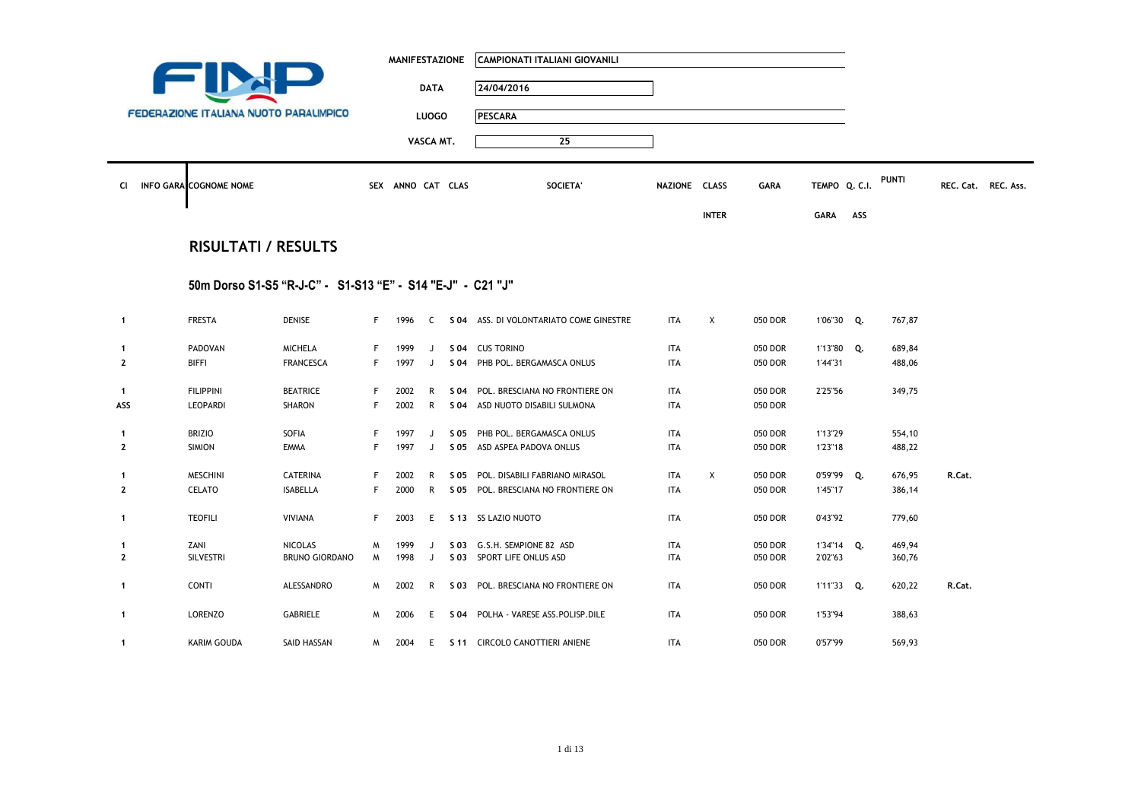| <b>CI</b>      | <b>FEDERAZIONE ITALIANA NUOTO PARALIMPICO</b><br><b>INFO GARA COGNOME NOME</b> |                                                            |    | <b>MANIFESTAZIONE</b><br>SEX ANNO CAT CLAS | <b>DATA</b><br><b>LUOGO</b><br>VASCA MT. |      | CAMPIONATI ITALIANI GIOVANILI<br>24/04/2016<br><b>PESCARA</b><br>25<br>SOCIETA' | NAZIONE CLASS |                           | <b>GARA</b> | TEMPO Q. C.I. |     | PUNTI  |        | REC. Cat. REC. Ass. |
|----------------|--------------------------------------------------------------------------------|------------------------------------------------------------|----|--------------------------------------------|------------------------------------------|------|---------------------------------------------------------------------------------|---------------|---------------------------|-------------|---------------|-----|--------|--------|---------------------|
|                | <b>RISULTATI / RESULTS</b>                                                     |                                                            |    |                                            |                                          |      |                                                                                 |               | <b>INTER</b>              |             | <b>GARA</b>   | ASS |        |        |                     |
|                |                                                                                |                                                            |    |                                            |                                          |      |                                                                                 |               |                           |             |               |     |        |        |                     |
|                |                                                                                | 50m Dorso S1-S5 "R-J-C" - S1-S13 "E" - S14 "E-J" - C21 "J" |    |                                            |                                          |      |                                                                                 |               |                           |             |               |     |        |        |                     |
| $\mathbf{1}$   | <b>FRESTA</b>                                                                  | <b>DENISE</b>                                              |    | F 1996                                     |                                          |      | C S 04 ASS. DI VOLONTARIATO COME GINESTRE                                       | <b>ITA</b>    | $\boldsymbol{\mathsf{X}}$ | 050 DOR     | 1'06"30 Q.    |     | 767,87 |        |                     |
| 1              | PADOVAN                                                                        | <b>MICHELA</b>                                             | F  | 1999                                       | J                                        |      | S 04 CUS TORINO                                                                 | ITA           |                           | 050 DOR     | 1'13"80 Q.    |     | 689,84 |        |                     |
| $\overline{2}$ | <b>BIFFI</b>                                                                   | <b>FRANCESCA</b>                                           | F. | 1997                                       | J                                        |      | S 04 PHB POL. BERGAMASCA ONLUS                                                  | <b>ITA</b>    |                           | 050 DOR     | 1'44"31       |     | 488,06 |        |                     |
| $\mathbf{1}$   | <b>FILIPPINI</b>                                                               | <b>BEATRICE</b>                                            | F  | 2002                                       | R                                        |      | S 04 POL. BRESCIANA NO FRONTIERE ON                                             | <b>ITA</b>    |                           | 050 DOR     | 2'25"56       |     | 349,75 |        |                     |
| ASS            | LEOPARDI                                                                       | SHARON                                                     | F  | 2002                                       | R                                        |      | S 04 ASD NUOTO DISABILI SULMONA                                                 | <b>ITA</b>    |                           | 050 DOR     |               |     |        |        |                     |
| 1              | <b>BRIZIO</b>                                                                  | SOFIA                                                      | F  | 1997                                       | J                                        | S 05 | PHB POL. BERGAMASCA ONLUS                                                       | <b>ITA</b>    |                           | 050 DOR     | 1'13"29       |     | 554,10 |        |                     |
| $\overline{2}$ | <b>SIMION</b>                                                                  | <b>EMMA</b>                                                | F  | 1997                                       | J                                        |      | S 05 ASD ASPEA PADOVA ONLUS                                                     | <b>ITA</b>    |                           | 050 DOR     | 1'23"18       |     | 488,22 |        |                     |
| -1             | <b>MESCHINI</b>                                                                | <b>CATERINA</b>                                            | F  | 2002                                       | R                                        |      | S 05 POL. DISABILI FABRIANO MIRASOL                                             | <b>ITA</b>    | X                         | 050 DOR     | 0'59"99 Q.    |     | 676,95 | R.Cat. |                     |
| $\overline{2}$ | CELATO                                                                         | <b>ISABELLA</b>                                            | F  | 2000                                       | R                                        |      | S 05 POL. BRESCIANA NO FRONTIERE ON                                             | <b>ITA</b>    |                           | 050 DOR     | 1'45"17       |     | 386,14 |        |                     |
| $\mathbf{1}$   | <b>TEOFILI</b>                                                                 | <b>VIVIANA</b>                                             | F. | 2003                                       | E.                                       |      | S 13 SS LAZIO NUOTO                                                             | <b>ITA</b>    |                           | 050 DOR     | 0'43"92       |     | 779,60 |        |                     |
| -1             | ZANI                                                                           | <b>NICOLAS</b>                                             | M  | 1999                                       | $\mathbf{J}$                             |      | S 03 G.S.H. SEMPIONE 82 ASD                                                     | <b>ITA</b>    |                           | 050 DOR     | 1'34"14 Q.    |     | 469,94 |        |                     |
| $\overline{2}$ | SILVESTRI                                                                      | <b>BRUNO GIORDANO</b>                                      | M  | 1998                                       | J                                        |      | S 03 SPORT LIFE ONLUS ASD                                                       | <b>ITA</b>    |                           | 050 DOR     | 2'02"63       |     | 360,76 |        |                     |
| $\mathbf{1}$   | <b>CONTI</b>                                                                   | ALESSANDRO                                                 | M  | 2002                                       | R                                        |      | S 03 POL. BRESCIANA NO FRONTIERE ON                                             | <b>ITA</b>    |                           | 050 DOR     | 1'11"33 Q.    |     | 620,22 | R.Cat. |                     |
| 1              | LORENZO                                                                        | GABRIELE                                                   | M  | 2006                                       | E.                                       |      | S 04 POLHA - VARESE ASS. POLISP. DILE                                           | ITA           |                           | 050 DOR     | 1'53"94       |     | 388,63 |        |                     |
| 1              | KARIM GOUDA                                                                    | SAID HASSAN                                                | M  | 2004                                       |                                          |      | E S 11 CIRCOLO CANOTTIERI ANIENE                                                | ITA           |                           | 050 DOR     | 0'57"99       |     | 569,93 |        |                     |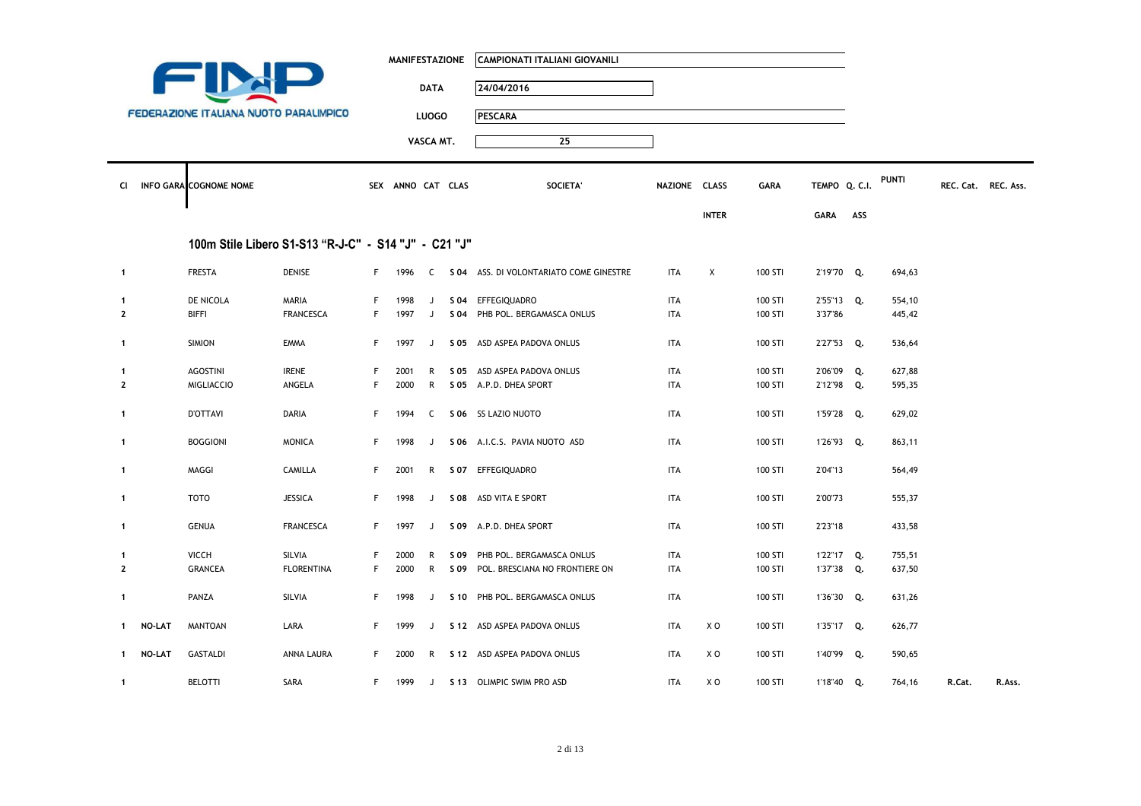|              |               |                                               |                                                      |    | <b>MANIFESTAZIONE</b> |              |      | <b>CAMPIONATI ITALIANI GIOVANILI</b>      |               |              |             |               |     |              |        |                     |
|--------------|---------------|-----------------------------------------------|------------------------------------------------------|----|-----------------------|--------------|------|-------------------------------------------|---------------|--------------|-------------|---------------|-----|--------------|--------|---------------------|
|              |               |                                               |                                                      |    |                       | <b>DATA</b>  |      | 24/04/2016                                |               |              |             |               |     |              |        |                     |
|              |               | <b>FEDERAZIONE ITALIANA NUOTO PARALIMPICO</b> |                                                      |    |                       | <b>LUOGO</b> |      | <b>PESCARA</b>                            |               |              |             |               |     |              |        |                     |
|              |               |                                               |                                                      |    |                       | VASCA MT.    |      | 25                                        |               |              |             |               |     |              |        |                     |
| CI           |               | INFO GARA COGNOME NOME                        |                                                      |    | SEX ANNO CAT CLAS     |              |      | SOCIETA'                                  | NAZIONE CLASS |              | <b>GARA</b> | TEMPO Q. C.I. |     | <b>PUNTI</b> |        | REC. Cat. REC. Ass. |
|              |               |                                               |                                                      |    |                       |              |      |                                           |               |              |             |               |     |              |        |                     |
|              |               |                                               |                                                      |    |                       |              |      |                                           |               | <b>INTER</b> |             | <b>GARA</b>   | ASS |              |        |                     |
|              |               |                                               | 100m Stile Libero S1-S13 "R-J-C" - S14 "J" - C21 "J" |    |                       |              |      |                                           |               |              |             |               |     |              |        |                     |
| $\mathbf{1}$ |               | <b>FRESTA</b>                                 | <b>DENISE</b>                                        |    | F 1996                |              |      | C S 04 ASS. DI VOLONTARIATO COME GINESTRE | ITA           | X            | 100 STI     | 2'19"70 Q.    |     | 694,63       |        |                     |
| $\mathbf{1}$ |               | DE NICOLA                                     | MARIA                                                | F. | 1998                  | J            |      | S 04 EFFEGIQUADRO                         | <b>ITA</b>    |              | 100 STI     | 2'55"13 Q.    |     | 554,10       |        |                     |
| $\mathbf{2}$ |               | <b>BIFFI</b>                                  | <b>FRANCESCA</b>                                     | F. | 1997                  | J            |      | S 04 PHB POL. BERGAMASCA ONLUS            | <b>ITA</b>    |              | 100 STI     | 3'37"86       |     | 445,42       |        |                     |
| $\mathbf{1}$ |               | <b>SIMION</b>                                 | <b>EMMA</b>                                          | F. | 1997                  | J            |      | S 05 ASD ASPEA PADOVA ONLUS               | ITA           |              | 100 STI     | 2'27"53 Q.    |     | 536,64       |        |                     |
| 1            |               | <b>AGOSTINI</b>                               | <b>IRENE</b>                                         | F. | 2001                  | R            |      | S 05 ASD ASPEA PADOVA ONLUS               | ITA           |              | 100 STI     | 2'06"09 Q.    |     | 627,88       |        |                     |
| $\mathbf{2}$ |               | <b>MIGLIACCIO</b>                             | ANGELA                                               | F. | 2000                  |              |      | R S 05 A.P.D. DHEA SPORT                  | ITA           |              | 100 STI     | 2'12"98 Q.    |     | 595,35       |        |                     |
| $\mathbf{1}$ |               | <b>D'OTTAVI</b>                               | DARIA                                                | F. | 1994                  | C            |      | S 06 SS LAZIO NUOTO                       | ITA           |              | 100 STI     | 1'59"28 Q.    |     | 629,02       |        |                     |
| $\mathbf{1}$ |               | <b>BOGGIONI</b>                               | <b>MONICA</b>                                        | F. | 1998                  | J            |      | S 06 A.I.C.S. PAVIA NUOTO ASD             | <b>ITA</b>    |              | 100 STI     | 1'26"93 Q.    |     | 863,11       |        |                     |
| $\mathbf{1}$ |               | MAGGI                                         | CAMILLA                                              | F. | 2001                  |              |      | R S 07 EFFEGIQUADRO                       | <b>ITA</b>    |              | 100 STI     | 2'04"13       |     | 564,49       |        |                     |
| $\mathbf{1}$ |               | <b>TOTO</b>                                   | <b>JESSICA</b>                                       | F. | 1998                  | J            |      | S 08 ASD VITA E SPORT                     | ITA           |              | 100 STI     | 2'00"73       |     | 555,37       |        |                     |
| $\mathbf{1}$ |               | <b>GENUA</b>                                  | <b>FRANCESCA</b>                                     | F. | 1997                  | J            |      | S 09 A.P.D. DHEA SPORT                    | ITA           |              | 100 STI     | 2'23"18       |     | 433,58       |        |                     |
| 1            |               | <b>VICCH</b>                                  | SILVIA                                               | F. | 2000                  | R            | S 09 | PHB POL. BERGAMASCA ONLUS                 | <b>ITA</b>    |              | 100 STI     | 1'22"17 Q.    |     | 755,51       |        |                     |
| $\mathbf{2}$ |               | <b>GRANCEA</b>                                | <b>FLORENTINA</b>                                    | F. | 2000                  | R            |      | S 09 POL. BRESCIANA NO FRONTIERE ON       | ITA           |              | 100 STI     | 1'37"38 Q.    |     | 637,50       |        |                     |
| $\mathbf{1}$ |               | PANZA                                         | SILVIA                                               | F. | 1998                  | J            |      | S 10 PHB POL. BERGAMASCA ONLUS            | <b>ITA</b>    |              | 100 STI     | 1'36"30 Q.    |     | 631,26       |        |                     |
| 1            | <b>NO-LAT</b> | <b>MANTOAN</b>                                | LARA                                                 | F. | 1999                  |              |      | J S 12 ASD ASPEA PADOVA ONLUS             | ITA           | X O          | 100 STI     | 1'35"17 Q.    |     | 626,77       |        |                     |
| $\mathbf{1}$ | NO-LAT        | <b>GASTALDI</b>                               | ANNA LAURA                                           | F. | 2000                  |              |      | R S 12 ASD ASPEA PADOVA ONLUS             | ITA           | X O          | 100 STI     | 1'40"99 Q.    |     | 590,65       |        |                     |
| $\mathbf{1}$ |               | <b>BELOTTI</b>                                | SARA                                                 | F. | 1999                  |              |      | J S 13 OLIMPIC SWIM PRO ASD               | <b>ITA</b>    | X O          | 100 STI     | 1'18"40 Q.    |     | 764,16       | R.Cat. | R.Ass.              |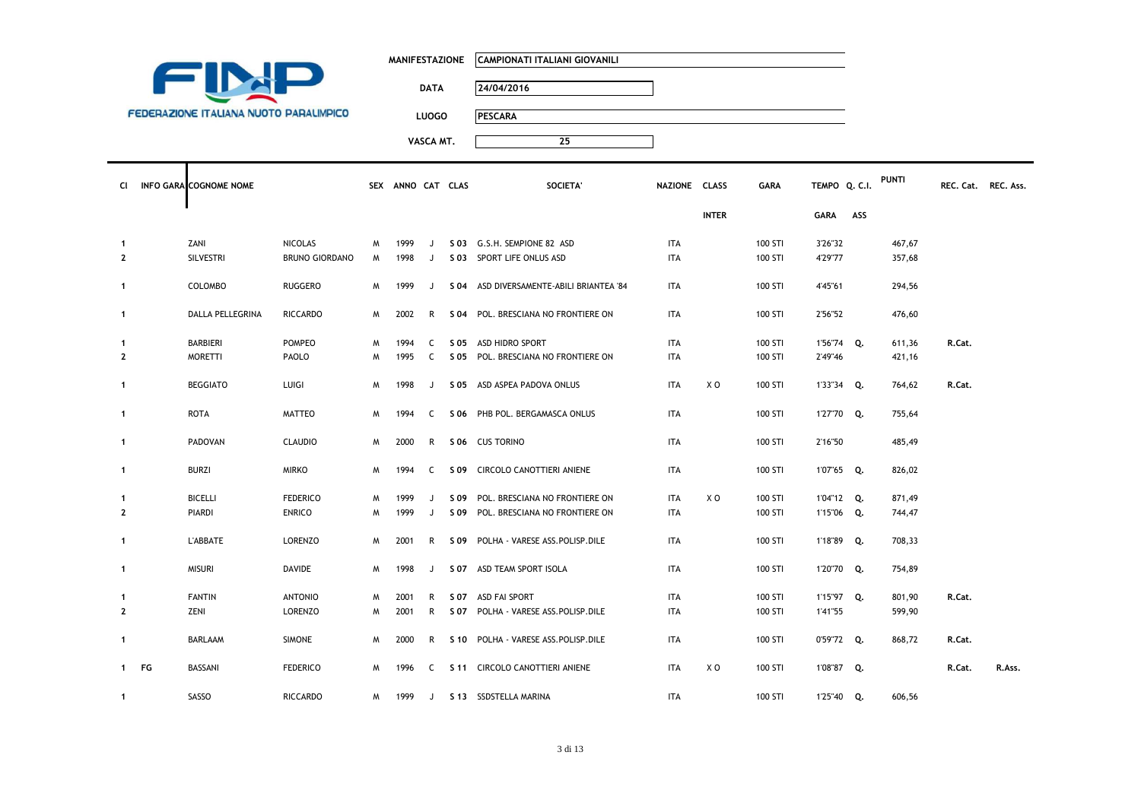|                                               | <b>MANIFESTAZIONE</b> | CAMPIONATI ITALIANI GIOVANILI |
|-----------------------------------------------|-----------------------|-------------------------------|
|                                               | <b>DATA</b>           | 24/04/2016                    |
| <b>FEDERAZIONE ITALIANA NUOTO PARALIMPICO</b> | <b>LUOGO</b>          | <b>PESCARA</b>                |
|                                               | VASCA MT.             | 25                            |

Т

| CI.                            | INFO GARA COGNOME NOME |                                         |        | SEX ANNO CAT CLAS |        | <b>SOCIETA</b>                                           | NAZIONE CLASS            |              | <b>GARA</b>        | TEMPO Q. C.I.      |     | <b>PUNTI</b>     | REC. Cat. REC. Ass. |        |
|--------------------------------|------------------------|-----------------------------------------|--------|-------------------|--------|----------------------------------------------------------|--------------------------|--------------|--------------------|--------------------|-----|------------------|---------------------|--------|
|                                |                        |                                         |        |                   |        |                                                          |                          | <b>INTER</b> |                    | <b>GARA</b>        | ASS |                  |                     |        |
| $\mathbf{1}$<br>$\overline{2}$ | ZANI<br>SILVESTRI      | <b>NICOLAS</b><br><b>BRUNO GIORDANO</b> | M<br>M | 1999<br>1998      | J<br>J | S 03 G.S.H. SEMPIONE 82 ASD<br>S 03 SPORT LIFE ONLUS ASD | <b>ITA</b><br><b>ITA</b> |              | 100 STI<br>100 STI | 3'26"32<br>4'29"77 |     | 467,67<br>357,68 |                     |        |
| $\mathbf{1}$                   | COLOMBO                | RUGGERO                                 | M      | 1999              | J      | S 04 ASD DIVERSAMENTE-ABILI BRIANTEA '84                 | <b>ITA</b>               |              | 100 STI            | 4'45"61            |     | 294,56           |                     |        |
| $\mathbf{1}$                   | DALLA PELLEGRINA       | <b>RICCARDO</b>                         | M      | 2002              | R      | S 04 POL. BRESCIANA NO FRONTIERE ON                      | <b>ITA</b>               |              | 100 STI            | 2'56"52            |     | 476,60           |                     |        |
| $\mathbf{1}$                   | BARBIERI               | <b>POMPEO</b>                           | M      | 1994              | C      | S 05 ASD HIDRO SPORT                                     | <b>ITA</b>               |              | 100 STI            | 1'56"74 Q.         |     | 611,36           | R.Cat.              |        |
| $\mathbf{2}$                   | <b>MORETTI</b>         | PAOLO                                   | м      | 1995              | C      | S 05 POL. BRESCIANA NO FRONTIERE ON                      | <b>ITA</b>               |              | 100 STI            | 2'49"46            |     | 421,16           |                     |        |
| $\mathbf{1}$                   | <b>BEGGIATO</b>        | LUIGI                                   | M      | 1998              | J      | S 05 ASD ASPEA PADOVA ONLUS                              | <b>ITA</b>               | X O          | 100 STI            | 1'33"34 Q.         |     | 764,62           | R.Cat.              |        |
| $\mathbf{1}$                   | ROTA                   | MATTEO                                  | M      | 1994              | C      | S 06 PHB POL. BERGAMASCA ONLUS                           | <b>ITA</b>               |              | 100 STI            | 1'27"70 Q.         |     | 755,64           |                     |        |
| $\mathbf{1}$                   | PADOVAN                | <b>CLAUDIO</b>                          | M      | 2000              | R      | S 06 CUS TORINO                                          | <b>ITA</b>               |              | 100 STI            | 2'16"50            |     | 485,49           |                     |        |
| $\mathbf{1}$                   | <b>BURZI</b>           | <b>MIRKO</b>                            | M      | 1994              | C      | S 09 CIRCOLO CANOTTIERI ANIENE                           | <b>ITA</b>               |              | 100 STI            | 1'07"65 Q.         |     | 826,02           |                     |        |
| 1                              | <b>BICELLI</b>         | <b>FEDERICO</b>                         | M      | 1999              | J      | S 09 POL. BRESCIANA NO FRONTIERE ON                      | <b>ITA</b>               | X O          | 100 STI            | 1'04"12 Q.         |     | 871,49           |                     |        |
| $\overline{2}$                 | PIARDI                 | <b>ENRICO</b>                           | м      | 1999              | J      | S 09 POL. BRESCIANA NO FRONTIERE ON                      | <b>ITA</b>               |              | 100 STI            | 1'15"06 Q.         |     | 744,47           |                     |        |
| $\mathbf{1}$                   | <b>L'ABBATE</b>        | LORENZO                                 | M      | 2001              | R      | S 09 POLHA - VARESE ASS.POLISP.DILE                      | <b>ITA</b>               |              | 100 STI            | 1'18"89 Q.         |     | 708,33           |                     |        |
| $\mathbf{1}$                   | <b>MISURI</b>          | DAVIDE                                  | M      | 1998              | J      | S 07 ASD TEAM SPORT ISOLA                                | <b>ITA</b>               |              | 100 STI            | 1'20"70 Q.         |     | 754,89           |                     |        |
| 1                              | <b>FANTIN</b>          | <b>ANTONIO</b>                          | M      | 2001              | R      | S 07 ASD FAI SPORT                                       | <b>ITA</b>               |              | 100 STI            | 1'15"97 Q.         |     | 801,90           | R.Cat.              |        |
| $\overline{2}$                 | ZENI                   | LORENZO                                 | M      | 2001              | R      | S 07 POLHA - VARESE ASS.POLISP.DILE                      | <b>ITA</b>               |              | 100 STI            | 1'41"55            |     | 599,90           |                     |        |
| $\mathbf{1}$                   | <b>BARLAAM</b>         | <b>SIMONE</b>                           | M      | 2000              | R      | S 10 POLHA - VARESE ASS.POLISP.DILE                      | <b>ITA</b>               |              | 100 STI            | 0'59"72 Q.         |     | 868,72           | R.Cat.              |        |
|                                | 1 FG<br>BASSANI        | <b>FEDERICO</b>                         | M      | 1996              | C      | S 11 CIRCOLO CANOTTIERI ANIENE                           | <b>ITA</b>               | X O          | 100 STI            | 1'08"87 Q.         |     |                  | R.Cat.              | R.Ass. |
| $\mathbf{1}$                   | SASSO                  | <b>RICCARDO</b>                         | M      | 1999              | J      | S 13 SSDSTELLA MARINA                                    | <b>ITA</b>               |              | 100 STI            | 1'25"40 Q.         |     | 606,56           |                     |        |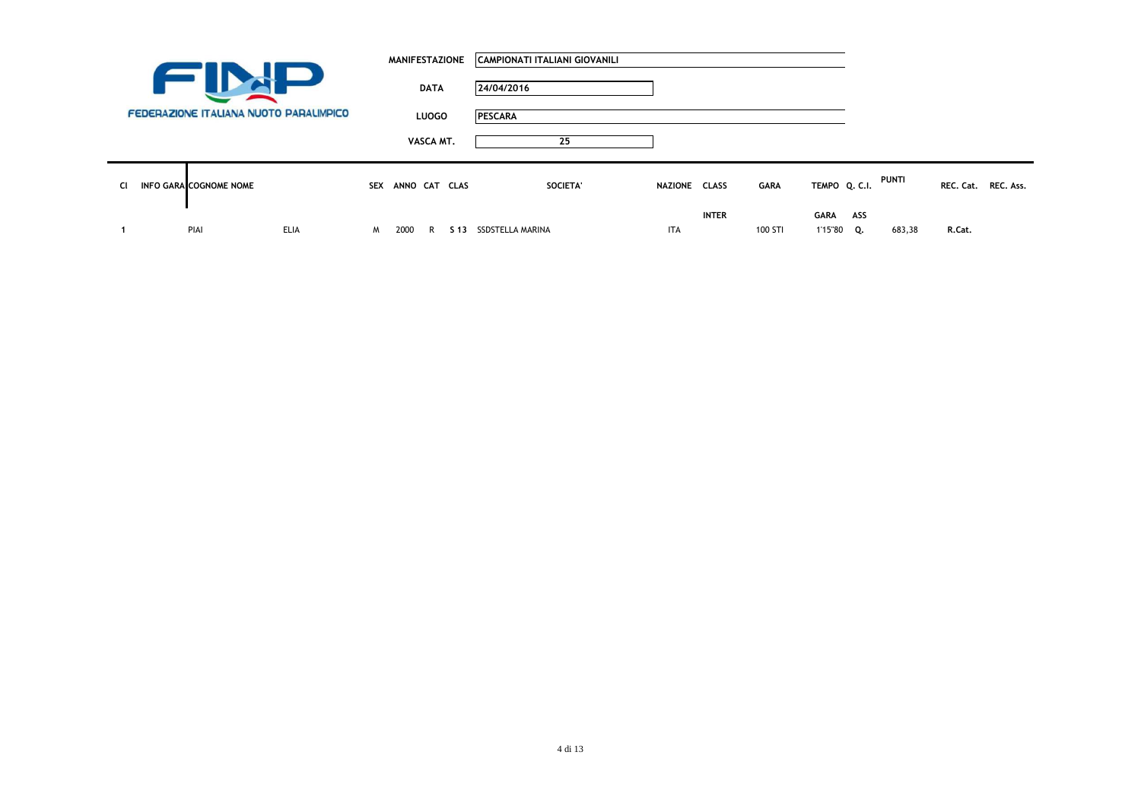|                                            |                                               |             |            | <b>MANIFESTAZIONE</b> |              | CAMPIONATI ITALIANI GIOVANILI |               |              |             |                    |     |        |                     |  |
|--------------------------------------------|-----------------------------------------------|-------------|------------|-----------------------|--------------|-------------------------------|---------------|--------------|-------------|--------------------|-----|--------|---------------------|--|
| <b>Contract Contract Contract Contract</b> |                                               |             |            |                       | <b>DATA</b>  | 24/04/2016                    |               |              |             |                    |     |        |                     |  |
|                                            | <b>FEDERAZIONE ITALIANA NUOTO PARALIMPICO</b> |             |            |                       | <b>LUOGO</b> | <b>PESCARA</b>                |               |              |             |                    |     |        |                     |  |
|                                            |                                               |             |            |                       | VASCA MT.    | 25                            |               |              |             |                    |     |        |                     |  |
| <b>CI</b>                                  | <b>INFO GARA COGNOME NOME</b>                 |             | <b>SEX</b> | ANNO CAT CLAS         |              | SOCIETA'                      | NAZIONE CLASS |              | <b>GARA</b> | TEMPO Q. C.I.      |     | PUNTI  | REC. Cat. REC. Ass. |  |
|                                            | PIAI                                          | <b>ELIA</b> | M          | 2000                  | R            | S 13 SSDSTELLA MARINA         | <b>ITA</b>    | <b>INTER</b> | 100 STI     | GARA<br>1'15"80 Q. | ASS | 683,38 | R.Cat.              |  |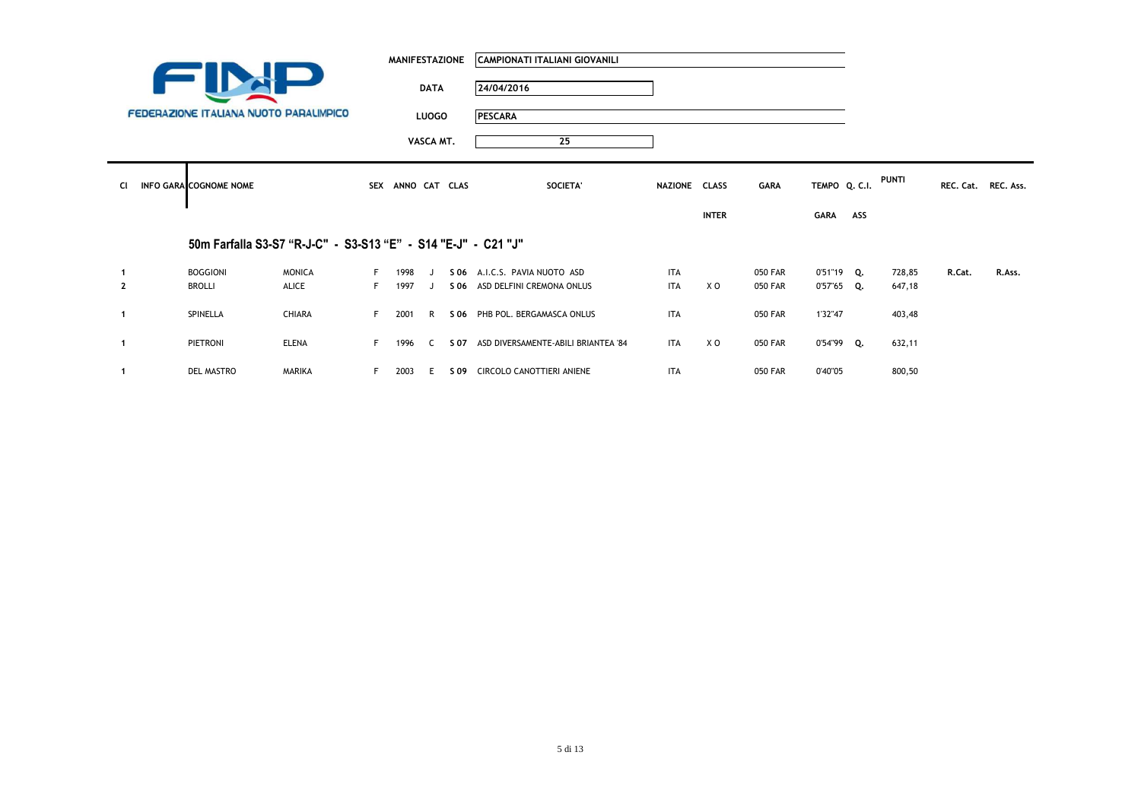|                |                                        |                                                               |    | <b>MANIFESTAZIONE</b> |              | CAMPIONATI ITALIANI GIOVANILI            |               |              |                |               |     |        |        |                     |
|----------------|----------------------------------------|---------------------------------------------------------------|----|-----------------------|--------------|------------------------------------------|---------------|--------------|----------------|---------------|-----|--------|--------|---------------------|
|                |                                        |                                                               |    |                       | <b>DATA</b>  | 24/04/2016                               |               |              |                |               |     |        |        |                     |
|                | FEDERAZIONE ITALIANA NUOTO PARALIMPICO |                                                               |    |                       | <b>LUOGO</b> | <b>PESCARA</b>                           |               |              |                |               |     |        |        |                     |
|                |                                        |                                                               |    |                       | VASCA MT.    | 25                                       |               |              |                |               |     |        |        |                     |
| <b>CI</b>      | <b>INFO GARA COGNOME NOME</b>          |                                                               |    | SEX ANNO CAT CLAS     |              | SOCIETA'                                 | NAZIONE CLASS |              | <b>GARA</b>    | TEMPO Q. C.I. |     | PUNTI  |        | REC. Cat. REC. Ass. |
|                |                                        |                                                               |    |                       |              |                                          |               | <b>INTER</b> |                | GARA          | ASS |        |        |                     |
|                |                                        | 50m Farfalla S3-S7 "R-J-C" - S3-S13 "E" - S14 "E-J" - C21 "J" |    |                       |              |                                          |               |              |                |               |     |        |        |                     |
|                | <b>BOGGIONI</b>                        | <b>MONICA</b>                                                 |    | 1998                  |              | S 06 A.I.C.S. PAVIA NUOTO ASD            | <b>ITA</b>    |              | <b>050 FAR</b> | $0'51''19$ Q. |     | 728,85 | R.Cat. | R.Ass.              |
| $\overline{2}$ | <b>BROLLI</b>                          | ALICE                                                         | F. | 1997                  |              | S 06 ASD DELFINI CREMONA ONLUS           | ITA           | X O          | <b>050 FAR</b> | $0'57''65$ Q. |     | 647,18 |        |                     |
| $\mathbf{1}$   | SPINELLA                               | <b>CHIARA</b>                                                 | F. | 2001                  | R            | S 06 PHB POL. BERGAMASCA ONLUS           | <b>ITA</b>    |              | <b>050 FAR</b> | 1'32"47       |     | 403,48 |        |                     |
| $\mathbf{1}$   | <b>PIETRONI</b>                        | <b>ELENA</b>                                                  | F. | 1996                  | C.           | S 07 ASD DIVERSAMENTE-ABILI BRIANTEA '84 | <b>ITA</b>    | X O          | <b>050 FAR</b> | $0'54''99$ Q. |     | 632,11 |        |                     |
|                | DEL MASTRO                             | MARIKA                                                        | F. | 2003                  | E.           | S 09 CIRCOLO CANOTTIERI ANIENE           | ITA           |              | <b>050 FAR</b> | 0'40"05       |     | 800,50 |        |                     |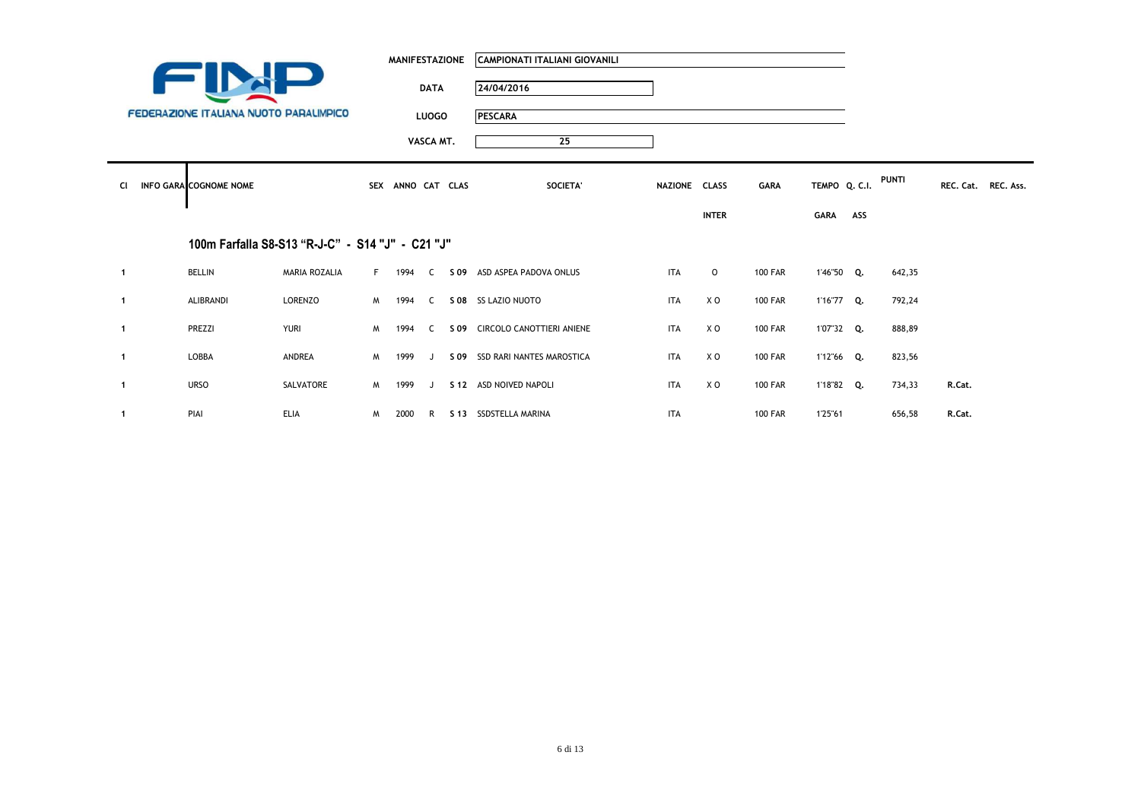|              |                                               |                                                  |          | MANIFESTAZIONE    |              | CAMPIONATI ITALIANI GIOVANILI  |               |              |                |               |     |              |                     |  |
|--------------|-----------------------------------------------|--------------------------------------------------|----------|-------------------|--------------|--------------------------------|---------------|--------------|----------------|---------------|-----|--------------|---------------------|--|
|              |                                               |                                                  |          |                   | <b>DATA</b>  | 24/04/2016                     |               |              |                |               |     |              |                     |  |
|              | <b>FEDERAZIONE ITALIANA NUOTO PARALIMPICO</b> |                                                  |          |                   | <b>LUOGO</b> | <b>PESCARA</b>                 |               |              |                |               |     |              |                     |  |
|              |                                               |                                                  |          |                   | VASCA MT.    | 25                             |               |              |                |               |     |              |                     |  |
| CI.          | <b>INFO GARA COGNOME NOME</b>                 |                                                  |          | SEX ANNO CAT CLAS |              | SOCIETA'                       | NAZIONE CLASS |              | <b>GARA</b>    | TEMPO Q. C.I. |     | <b>PUNTI</b> | REC. Cat. REC. Ass. |  |
|              |                                               |                                                  |          |                   |              |                                |               | <b>INTER</b> |                | GARA          | ASS |              |                     |  |
|              |                                               | 100m Farfalla S8-S13 "R-J-C" - S14 "J" - C21 "J" |          |                   |              |                                |               |              |                |               |     |              |                     |  |
| $\mathbf{1}$ | <b>BELLIN</b>                                 | <b>MARIA ROZALIA</b>                             | F        | 1994              | C.           | S 09 ASD ASPEA PADOVA ONLUS    | <b>ITA</b>    | $\circ$      | <b>100 FAR</b> | 1'46"50 Q.    |     | 642,35       |                     |  |
| $\mathbf{1}$ | <b>ALIBRANDI</b>                              | LORENZO                                          | <b>M</b> | 1994              |              | C S 08 SS LAZIO NUOTO          | ITA           | X O          | <b>100 FAR</b> | 1'16"77 Q.    |     | 792,24       |                     |  |
| $\mathbf{1}$ | PREZZI                                        | <b>YURI</b>                                      | M        | 1994              | $\mathsf{C}$ | S 09 CIRCOLO CANOTTIERI ANIENE | <b>ITA</b>    | X O          | <b>100 FAR</b> | 1'07"32 Q.    |     | 888,89       |                     |  |
| $\mathbf{1}$ | <b>LOBBA</b>                                  | ANDREA                                           | M        | 1999              | $\mathbf{J}$ | S 09 SSD RARI NANTES MAROSTICA | ITA           | X O          | <b>100 FAR</b> | 1'12"66 Q.    |     | 823,56       |                     |  |
| $\mathbf{1}$ | <b>URSO</b>                                   | SALVATORE                                        | <b>M</b> | 1999              | $\mathbf{J}$ | S 12 ASD NOIVED NAPOLI         | ITA           | X O          | <b>100 FAR</b> | 1'18"82 Q.    |     | 734,33       | R.Cat.              |  |
| $\mathbf{1}$ | PIAI                                          | <b>ELIA</b>                                      | M        | 2000              |              | R S 13 SSDSTELLA MARINA        | <b>ITA</b>    |              | <b>100 FAR</b> | 1'25"61       |     | 656,58       | R.Cat.              |  |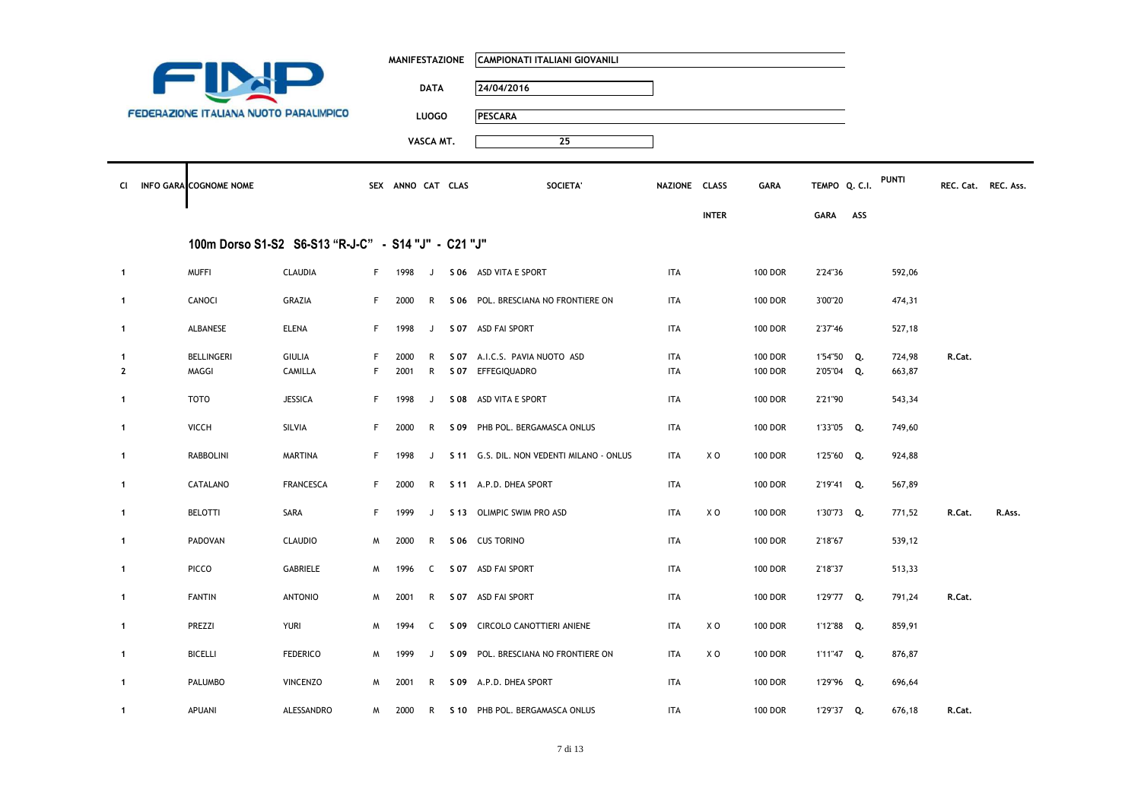|                |                                               |                                                     |    | <b>MANIFESTAZIONE</b> |              | CAMPIONATI ITALIANI GIOVANILI             |               |                |                |               |     |              |                     |        |
|----------------|-----------------------------------------------|-----------------------------------------------------|----|-----------------------|--------------|-------------------------------------------|---------------|----------------|----------------|---------------|-----|--------------|---------------------|--------|
|                |                                               |                                                     |    |                       | <b>DATA</b>  | 24/04/2016                                |               |                |                |               |     |              |                     |        |
|                | <b>FEDERAZIONE ITALIANA NUOTO PARALIMPICO</b> |                                                     |    |                       | <b>LUOGO</b> | <b>PESCARA</b>                            |               |                |                |               |     |              |                     |        |
|                |                                               |                                                     |    |                       | VASCA MT.    | $\overline{25}$                           |               |                |                |               |     |              |                     |        |
|                |                                               |                                                     |    |                       |              |                                           |               |                |                |               |     |              |                     |        |
|                | CI INFO GARA COGNOME NOME                     |                                                     |    | SEX ANNO CAT CLAS     |              | SOCIETA'                                  | NAZIONE CLASS |                | <b>GARA</b>    | TEMPO Q. C.I. |     | <b>PUNTI</b> | REC. Cat. REC. Ass. |        |
|                |                                               |                                                     |    |                       |              |                                           |               | <b>INTER</b>   |                | GARA          | ASS |              |                     |        |
|                |                                               | 100m Dorso S1-S2 S6-S13 "R-J-C" - S14 "J" - C21 "J" |    |                       |              |                                           |               |                |                |               |     |              |                     |        |
| $\mathbf{1}$   | <b>MUFFI</b>                                  | <b>CLAUDIA</b>                                      | F. | 1998                  | J            | S 06 ASD VITA E SPORT                     | <b>ITA</b>    |                | <b>100 DOR</b> | 2'24"36       |     | 592,06       |                     |        |
| $\mathbf{1}$   | CANOCI                                        | GRAZIA                                              | F  | 2000                  | R            | S 06 POL. BRESCIANA NO FRONTIERE ON       | <b>ITA</b>    |                | <b>100 DOR</b> | 3'00"20       |     | 474,31       |                     |        |
| $\mathbf{1}$   | ALBANESE                                      | <b>ELENA</b>                                        | F. | 1998                  | J            | S 07 ASD FAI SPORT                        | <b>ITA</b>    |                | <b>100 DOR</b> | 2'37"46       |     | 527,18       |                     |        |
| 1              | <b>BELLINGERI</b>                             | <b>GIULIA</b>                                       | F  | 2000                  | R            | S 07 A.I.C.S. PAVIA NUOTO ASD             | <b>ITA</b>    |                | <b>100 DOR</b> | 1'54"50       | Q.  | 724,98       | R.Cat.              |        |
| $\overline{2}$ | MAGGI                                         | CAMILLA                                             | F  | 2001                  | R            | S 07 EFFEGIQUADRO                         | <b>ITA</b>    |                | <b>100 DOR</b> | 2'05"04 Q.    |     | 663,87       |                     |        |
| $\mathbf{1}$   | <b>TOTO</b>                                   | <b>JESSICA</b>                                      | F. | 1998                  | J            | S 08 ASD VITA E SPORT                     | <b>ITA</b>    |                | <b>100 DOR</b> | 2'21"90       |     | 543,34       |                     |        |
| $\mathbf{1}$   | <b>VICCH</b>                                  | SILVIA                                              | F. | 2000                  | R            | S 09 PHB POL. BERGAMASCA ONLUS            | <b>ITA</b>    |                | <b>100 DOR</b> | 1'33"05 Q.    |     | 749,60       |                     |        |
| $\mathbf{1}$   | <b>RABBOLINI</b>                              | <b>MARTINA</b>                                      | F. | 1998                  | J            | S 11 G.S. DIL. NON VEDENTI MILANO - ONLUS | <b>ITA</b>    | X O            | <b>100 DOR</b> | 1'25"60 Q.    |     | 924,88       |                     |        |
| $\mathbf{1}$   | CATALANO                                      | <b>FRANCESCA</b>                                    | F. | 2000                  | R            | S 11 A.P.D. DHEA SPORT                    | <b>ITA</b>    |                | <b>100 DOR</b> | 2'19"41 Q.    |     | 567,89       |                     |        |
| $\mathbf{1}$   | <b>BELOTTI</b>                                | SARA                                                | F. | 1999                  | J            | S 13 OLIMPIC SWIM PRO ASD                 | <b>ITA</b>    | X O            | <b>100 DOR</b> | 1'30"73 Q.    |     | 771,52       | R.Cat.              | R.Ass. |
| 1              | PADOVAN                                       | <b>CLAUDIO</b>                                      | M  | 2000                  | R            | S 06 CUS TORINO                           | <b>ITA</b>    |                | <b>100 DOR</b> | 2'18"67       |     | 539,12       |                     |        |
| $\mathbf{1}$   | PICCO                                         | GABRIELE                                            | M  | 1996                  | C            | S 07 ASD FAI SPORT                        | <b>ITA</b>    |                | <b>100 DOR</b> | 2'18"37       |     | 513,33       |                     |        |
| $\mathbf{1}$   | <b>FANTIN</b>                                 | <b>ANTONIO</b>                                      | M  | 2001                  | $\mathsf{R}$ | S 07 ASD FAI SPORT                        | <b>ITA</b>    |                | <b>100 DOR</b> | 1'29"77 Q.    |     | 791,24       | R.Cat.              |        |
| $\mathbf{1}$   | PREZZI                                        | <b>YURI</b>                                         | M  | 1994                  | C            | S 09 CIRCOLO CANOTTIERI ANIENE            | <b>ITA</b>    | X <sub>0</sub> | <b>100 DOR</b> | 1'12"88 Q.    |     | 859,91       |                     |        |
| $\mathbf{1}$   | <b>BICELLI</b>                                | <b>FEDERICO</b>                                     | M  | 1999                  | J            | S 09 POL. BRESCIANA NO FRONTIERE ON       | <b>ITA</b>    | X O            | <b>100 DOR</b> | 1'11"47 Q.    |     | 876,87       |                     |        |
| $\mathbf{1}$   | PALUMBO                                       | <b>VINCENZO</b>                                     | M  | 2001                  | R            | S 09 A.P.D. DHEA SPORT                    | ITA           |                | <b>100 DOR</b> | 1'29"96 Q.    |     | 696,64       |                     |        |
| $\mathbf{1}$   | <b>APUANI</b>                                 | ALESSANDRO                                          | M  | 2000                  |              | R S 10 PHB POL. BERGAMASCA ONLUS          | <b>ITA</b>    |                | <b>100 DOR</b> | 1'29"37 Q.    |     | 676,18       | R.Cat.              |        |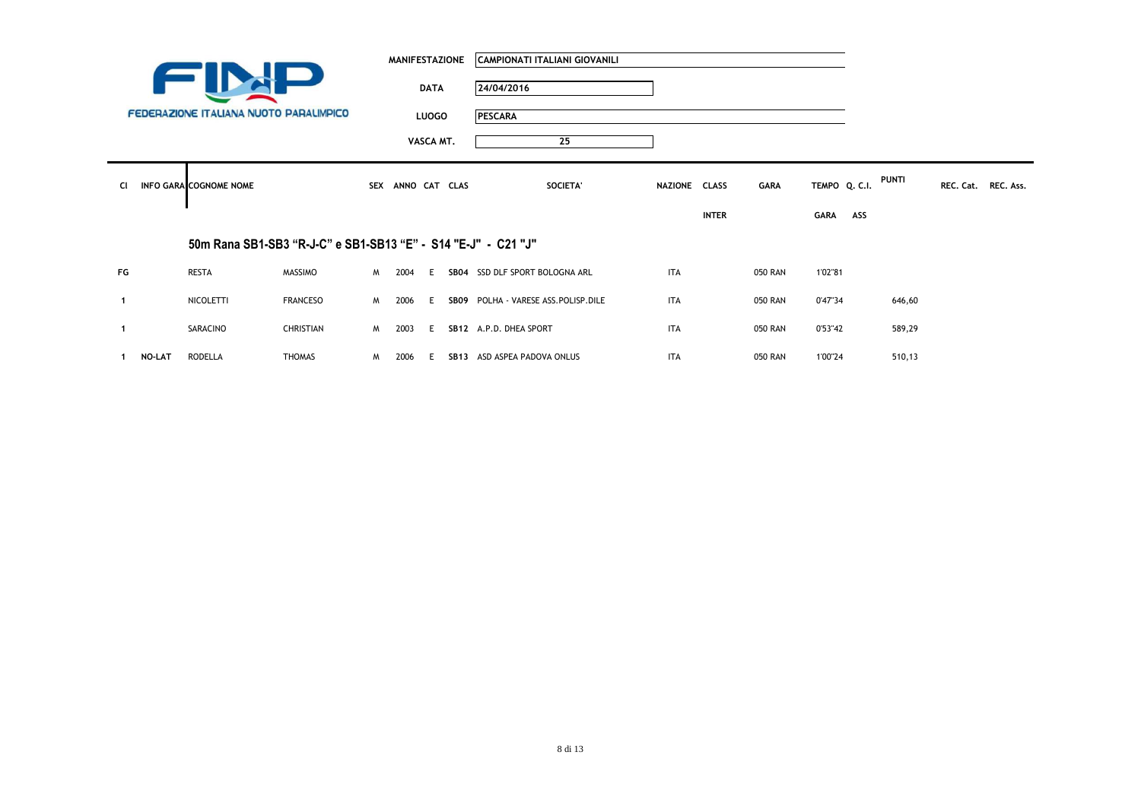|              |               |                                                               |                 |          | <b>MANIFESTAZIONE</b> |              | CAMPIONATI ITALIANI GIOVANILI       |               |              |                |               |     |              |                     |  |
|--------------|---------------|---------------------------------------------------------------|-----------------|----------|-----------------------|--------------|-------------------------------------|---------------|--------------|----------------|---------------|-----|--------------|---------------------|--|
|              |               |                                                               |                 |          |                       | <b>DATA</b>  | 24/04/2016                          |               |              |                |               |     |              |                     |  |
|              |               | FEDERAZIONE ITALIANA NUOTO PARALIMPICO                        |                 |          |                       | <b>LUOGO</b> | PESCARA                             |               |              |                |               |     |              |                     |  |
|              |               |                                                               |                 |          |                       | VASCA MT.    | 25                                  |               |              |                |               |     |              |                     |  |
|              |               |                                                               |                 |          |                       |              |                                     |               |              |                |               |     | <b>PUNTI</b> |                     |  |
| <b>CI</b>    |               | <b>INFO GARA COGNOME NOME</b>                                 |                 |          | SEX ANNO CAT CLAS     |              | SOCIETA'                            | NAZIONE CLASS |              | GARA           | TEMPO Q. C.I. |     |              | REC. Cat. REC. Ass. |  |
|              |               |                                                               |                 |          |                       |              |                                     |               | <b>INTER</b> |                | <b>GARA</b>   | ASS |              |                     |  |
|              |               | 50m Rana SB1-SB3 "R-J-C" e SB1-SB13 "E" - S14 "E-J" - C21 "J" |                 |          |                       |              |                                     |               |              |                |               |     |              |                     |  |
| FG           |               | RESTA                                                         | <b>MASSIMO</b>  | M        | 2004                  | E.           | SB04 SSD DLF SPORT BOLOGNA ARL      | <b>ITA</b>    |              | <b>050 RAN</b> | 1'02"81       |     |              |                     |  |
| $\mathbf{1}$ |               | NICOLETTI                                                     | <b>FRANCESO</b> | <b>M</b> | 2006                  | E.           | SB09 POLHA - VARESE ASS.POLISP.DILE | <b>ITA</b>    |              | 050 RAN        | 0'47"34       |     | 646,60       |                     |  |
| $\mathbf{1}$ |               | SARACINO                                                      | CHRISTIAN       | M        | 2003                  | E.           | SB12 A.P.D. DHEA SPORT              | <b>ITA</b>    |              | <b>050 RAN</b> | 0'53"42       |     | 589,29       |                     |  |
|              | <b>NO-LAT</b> | RODELLA                                                       | THOMAS          | M.       | 2006                  | E.           | SB13 ASD ASPEA PADOVA ONLUS         | <b>ITA</b>    |              | <b>050 RAN</b> | 1'00"24       |     | 510,13       |                     |  |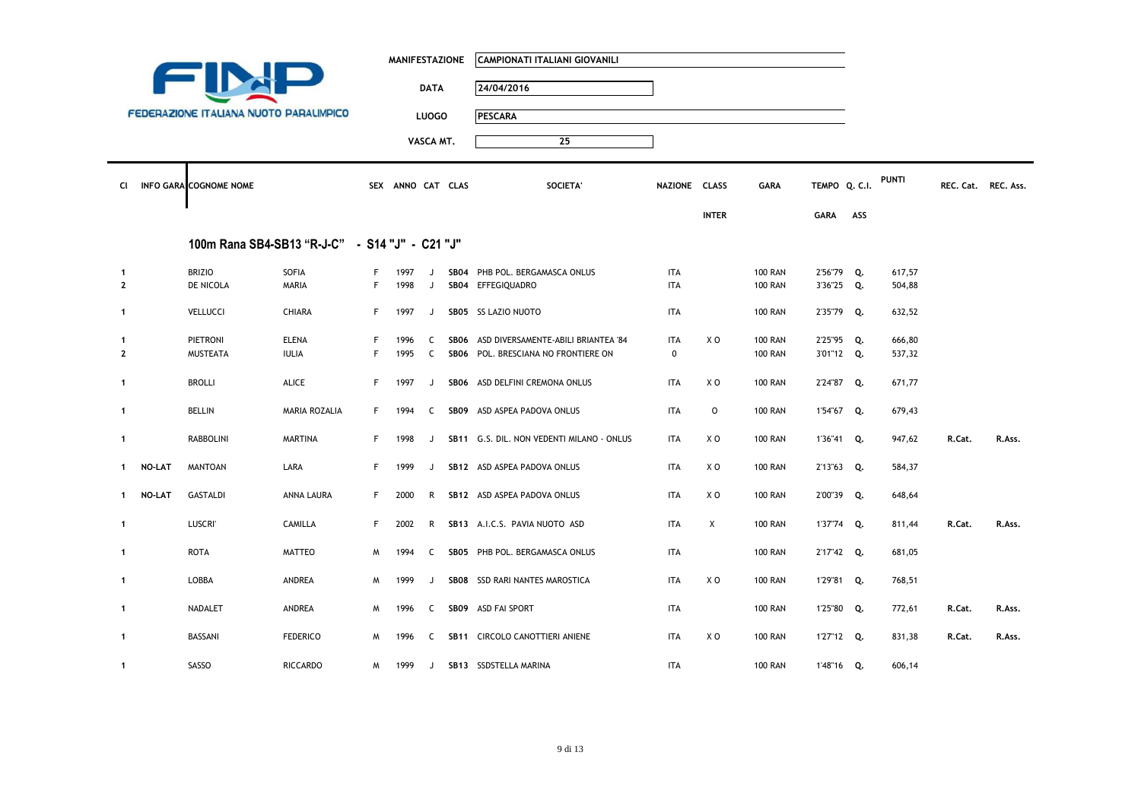|                |               |                                                |                   |    | <b>MANIFESTAZIONE</b> |              | CAMPIONATI ITALIANI GIOVANILI             |               |              |                |               |     |        |                     |        |
|----------------|---------------|------------------------------------------------|-------------------|----|-----------------------|--------------|-------------------------------------------|---------------|--------------|----------------|---------------|-----|--------|---------------------|--------|
|                |               |                                                |                   |    |                       | <b>DATA</b>  | 24/04/2016                                |               |              |                |               |     |        |                     |        |
|                |               | <b>FEDERAZIONE ITALIANA NUOTO PARALIMPICO</b>  |                   |    |                       | <b>LUOGO</b> | <b>PESCARA</b>                            |               |              |                |               |     |        |                     |        |
|                |               |                                                |                   |    |                       | VASCA MT.    | 25                                        |               |              |                |               |     |        |                     |        |
|                |               |                                                |                   |    |                       |              |                                           |               |              |                |               |     |        |                     |        |
| CI             |               | INFO GARA COGNOME NOME                         |                   |    | SEX ANNO CAT CLAS     |              | <b>SOCIETA</b>                            | NAZIONE CLASS |              | <b>GARA</b>    | TEMPO Q. C.I. |     | PUNTI  | REC. Cat. REC. Ass. |        |
|                |               |                                                |                   |    |                       |              |                                           |               | <b>INTER</b> |                | <b>GARA</b>   | ASS |        |                     |        |
|                |               | 100m Rana SB4-SB13 "R-J-C" - S14 "J" - C21 "J" |                   |    |                       |              |                                           |               |              |                |               |     |        |                     |        |
| $\mathbf{1}$   |               | <b>BRIZIO</b>                                  | SOFIA             | F  | 1997                  | J            | SB04 PHB POL. BERGAMASCA ONLUS            | <b>ITA</b>    |              | <b>100 RAN</b> | 2'56"79 Q.    |     | 617,57 |                     |        |
| $\overline{2}$ |               | DE NICOLA                                      | MARIA             | F. | 1998                  | J            | SB04 EFFEGIQUADRO                         | ITA           |              | <b>100 RAN</b> | 3'36"25 Q.    |     | 504,88 |                     |        |
| $\mathbf{1}$   |               | VELLUCCI                                       | CHIARA            | F. | 1997                  | J            | SB05 SS LAZIO NUOTO                       | ITA           |              | <b>100 RAN</b> | 2'35"79 Q.    |     | 632,52 |                     |        |
| $\mathbf{1}$   |               | PIETRONI                                       | <b>ELENA</b>      | F. | 1996                  | C            | SB06 ASD DIVERSAMENTE-ABILI BRIANTEA '84  | <b>ITA</b>    | X O          | <b>100 RAN</b> | 2'25"95 Q.    |     | 666,80 |                     |        |
| $\overline{2}$ |               | <b>MUSTEATA</b>                                | <b>IULIA</b>      | F. | 1995                  | C            | SB06 POL. BRESCIANA NO FRONTIERE ON       | 0             |              | <b>100 RAN</b> | 3'01"12 Q.    |     | 537,32 |                     |        |
| $\mathbf{1}$   |               | <b>BROLLI</b>                                  | <b>ALICE</b>      | F. | 1997                  | J            | SB06 ASD DELFINI CREMONA ONLUS            | <b>ITA</b>    | x o          | <b>100 RAN</b> | 2'24"87 Q.    |     | 671,77 |                     |        |
| $\mathbf{1}$   |               | <b>BELLIN</b>                                  | MARIA ROZALIA     | F. | 1994                  | C            | SB09 ASD ASPEA PADOVA ONLUS               | ITA           | 0            | <b>100 RAN</b> | 1'54"67 Q.    |     | 679,43 |                     |        |
| $\mathbf{1}$   |               | <b>RABBOLINI</b>                               | <b>MARTINA</b>    | F. | 1998                  | J            | SB11 G.S. DIL. NON VEDENTI MILANO - ONLUS | ITA           | x o          | <b>100 RAN</b> | 1'36"41 Q.    |     | 947,62 | R.Cat.              | R.Ass. |
| -1             | <b>NO-LAT</b> | <b>MANTOAN</b>                                 | LARA              | F  | 1999                  | J            | SB12 ASD ASPEA PADOVA ONLUS               | <b>ITA</b>    | X O          | <b>100 RAN</b> | 2'13"63 Q.    |     | 584,37 |                     |        |
| $\mathbf{1}$   | NO-LAT        | <b>GASTALDI</b>                                | <b>ANNA LAURA</b> | F. | 2000                  | R            | SB12 ASD ASPEA PADOVA ONLUS               | <b>ITA</b>    | X O          | <b>100 RAN</b> | 2'00"39 Q.    |     | 648,64 |                     |        |
| $\mathbf{1}$   |               | <b>LUSCRI</b>                                  | CAMILLA           | F. | 2002                  | R            | SB13 A.I.C.S. PAVIA NUOTO ASD             | ITA           | Χ            | <b>100 RAN</b> | 1'37"74 Q.    |     | 811,44 | R.Cat.              | R.Ass. |
| $\mathbf{1}$   |               | <b>ROTA</b>                                    | <b>MATTEO</b>     | M  | 1994                  | C            | SB05 PHB POL. BERGAMASCA ONLUS            | ITA           |              | <b>100 RAN</b> | 2'17"42 Q.    |     | 681,05 |                     |        |
| $\mathbf{1}$   |               | LOBBA                                          | ANDREA            | M  | 1999                  | J            | SB08 SSD RARI NANTES MAROSTICA            | ITA           | X O          | <b>100 RAN</b> | 1'29"81 Q.    |     | 768,51 |                     |        |
| $\mathbf{1}$   |               | NADALET                                        | ANDREA            | M  | 1996                  | C            | SB09 ASD FAI SPORT                        | ITA           |              | <b>100 RAN</b> | 1'25"80 Q.    |     | 772,61 | R.Cat.              | R.Ass. |
| $\mathbf{1}$   |               | BASSANI                                        | <b>FEDERICO</b>   | M  | 1996                  | C            | SB11 CIRCOLO CANOTTIERI ANIENE            | ITA           | X O          | <b>100 RAN</b> | 1'27"12 Q.    |     | 831,38 | R.Cat.              | R.Ass. |
| 1              |               | SASSO                                          | <b>RICCARDO</b>   | M  | 1999                  | J            | SB13 SSDSTELLA MARINA                     | <b>ITA</b>    |              | <b>100 RAN</b> | 1'48"16 Q.    |     | 606,14 |                     |        |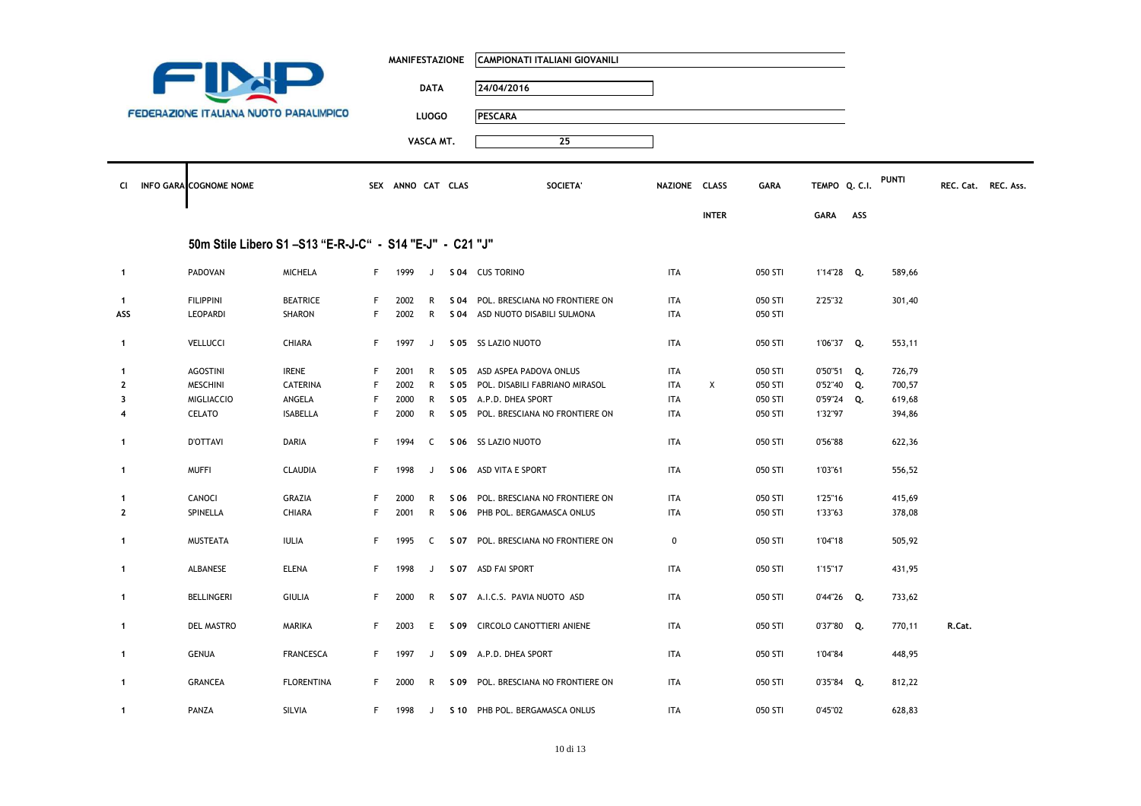|                |                                                         |                   |             | <b>MANIFESTAZIONE</b> |              | CAMPIONATI ITALIANI GIOVANILI       |               |              |         |               |     |        |                     |  |
|----------------|---------------------------------------------------------|-------------------|-------------|-----------------------|--------------|-------------------------------------|---------------|--------------|---------|---------------|-----|--------|---------------------|--|
|                |                                                         |                   |             |                       | <b>DATA</b>  | 24/04/2016                          |               |              |         |               |     |        |                     |  |
|                | <b>FEDERAZIONE ITALIANA NUOTO PARALIMPICO</b>           |                   |             |                       | <b>LUOGO</b> | <b>PESCARA</b>                      |               |              |         |               |     |        |                     |  |
|                |                                                         |                   |             |                       |              |                                     |               |              |         |               |     |        |                     |  |
|                |                                                         |                   |             |                       | VASCA MT.    | 25                                  |               |              |         |               |     |        |                     |  |
| CI.            | <b>INFO GARA COGNOME NOME</b>                           |                   |             | SEX ANNO CAT CLAS     |              | SOCIETA'                            | NAZIONE CLASS |              | GARA    | TEMPO Q. C.I. |     | PUNTI  | REC. Cat. REC. Ass. |  |
|                |                                                         |                   |             |                       |              |                                     |               | <b>INTER</b> |         | GARA          | ASS |        |                     |  |
|                | 50m Stile Libero S1-S13 "E-R-J-C" - S14 "E-J" - C21 "J" |                   |             |                       |              |                                     |               |              |         |               |     |        |                     |  |
| $\mathbf{1}$   | PADOVAN                                                 | <b>MICHELA</b>    | F           | 1999                  | J            | S 04 CUS TORINO                     | <b>ITA</b>    |              | 050 STI | 1'14"28 Q.    |     | 589,66 |                     |  |
| $\mathbf{1}$   | <b>FILIPPINI</b>                                        | <b>BEATRICE</b>   | F.          | 2002                  | R            | S 04 POL. BRESCIANA NO FRONTIERE ON | <b>ITA</b>    |              | 050 STI | 2'25"32       |     | 301,40 |                     |  |
| ASS            | <b>LEOPARDI</b>                                         | SHARON            | F           | 2002                  | R            | S 04 ASD NUOTO DISABILI SULMONA     | <b>ITA</b>    |              | 050 STI |               |     |        |                     |  |
| $\mathbf{1}$   | <b>VELLUCCI</b>                                         | CHIARA            | F           | 1997                  | J            | S 05 SS LAZIO NUOTO                 | <b>ITA</b>    |              | 050 STI | 1'06"37 Q.    |     | 553,11 |                     |  |
| $\mathbf{1}$   | <b>AGOSTINI</b>                                         | <b>IRENE</b>      | F           | 2001                  | R            | S 05 ASD ASPEA PADOVA ONLUS         | <b>ITA</b>    |              | 050 STI | 0'50"51 Q.    |     | 726,79 |                     |  |
| $\overline{2}$ | <b>MESCHINI</b>                                         | <b>CATERINA</b>   | $\mathsf F$ | 2002                  | R            | S 05 POL. DISABILI FABRIANO MIRASOL | ITA           | X            | 050 STI | 0'52"40 Q.    |     | 700,57 |                     |  |
| 3              | <b>MIGLIACCIO</b>                                       | ANGELA            | F           | 2000                  | R            | S 05 A.P.D. DHEA SPORT              | <b>ITA</b>    |              | 050 STI | 0'59"24 Q.    |     | 619,68 |                     |  |
| 4              | CELATO                                                  | <b>ISABELLA</b>   | F           | 2000                  | R            | S 05 POL. BRESCIANA NO FRONTIERE ON | ITA           |              | 050 STI | 1'32"97       |     | 394,86 |                     |  |
| $\mathbf{1}$   | <b>D'OTTAVI</b>                                         | <b>DARIA</b>      | F.          | 1994                  | C            | S 06 SS LAZIO NUOTO                 | <b>ITA</b>    |              | 050 STI | 0'56"88       |     | 622,36 |                     |  |
| $\mathbf{1}$   | <b>MUFFI</b>                                            | <b>CLAUDIA</b>    | F.          | 1998                  | J            | S 06 ASD VITA E SPORT               | <b>ITA</b>    |              | 050 STI | 1'03"61       |     | 556,52 |                     |  |
| $\mathbf{1}$   | CANOCI                                                  | GRAZIA            | F.          | 2000                  | R            | S 06 POL. BRESCIANA NO FRONTIERE ON | <b>ITA</b>    |              | 050 STI | 1'25"16       |     | 415,69 |                     |  |
| $\overline{2}$ | SPINELLA                                                | CHIARA            | F           | 2001                  | R            | S 06 PHB POL. BERGAMASCA ONLUS      | <b>ITA</b>    |              | 050 STI | 1'33"63       |     | 378,08 |                     |  |
| $\mathbf{1}$   | MUSTEATA                                                | <b>IULIA</b>      | F           | 1995                  | C            | S 07 POL. BRESCIANA NO FRONTIERE ON | 0             |              | 050 STI | 1'04"18       |     | 505,92 |                     |  |
| $\mathbf{1}$   | ALBANESE                                                | <b>ELENA</b>      | F           | 1998                  | J            | S 07 ASD FAI SPORT                  | <b>ITA</b>    |              | 050 STI | 1'15"17       |     | 431,95 |                     |  |
| $\mathbf{1}$   | <b>BELLINGERI</b>                                       | <b>GIULIA</b>     | F           | 2000                  |              | R S 07 A.I.C.S. PAVIA NUOTO ASD     | <b>ITA</b>    |              | 050 STI | 0'44"26 Q.    |     | 733,62 |                     |  |
| $\mathbf{1}$   | DEL MASTRO                                              | MARIKA            | F.          | 2003                  | E            | S 09 CIRCOLO CANOTTIERI ANIENE      | <b>ITA</b>    |              | 050 STI | 0'37"80 Q.    |     | 770,11 | R.Cat.              |  |
| $\mathbf{1}$   | <b>GENUA</b>                                            | <b>FRANCESCA</b>  | F.          | 1997                  | J            | S 09 A.P.D. DHEA SPORT              | ITA           |              | 050 STI | 1'04"84       |     | 448,95 |                     |  |
| $\mathbf{1}$   | <b>GRANCEA</b>                                          | <b>FLORENTINA</b> | F.          | 2000                  | R            | S 09 POL. BRESCIANA NO FRONTIERE ON | <b>ITA</b>    |              | 050 STI | 0'35"84 Q.    |     | 812,22 |                     |  |
| $\mathbf{1}$   | PANZA                                                   | SILVIA            | F.          | 1998                  |              | J S 10 PHB POL. BERGAMASCA ONLUS    | <b>ITA</b>    |              | 050 STI | 0'45"02       |     | 628,83 |                     |  |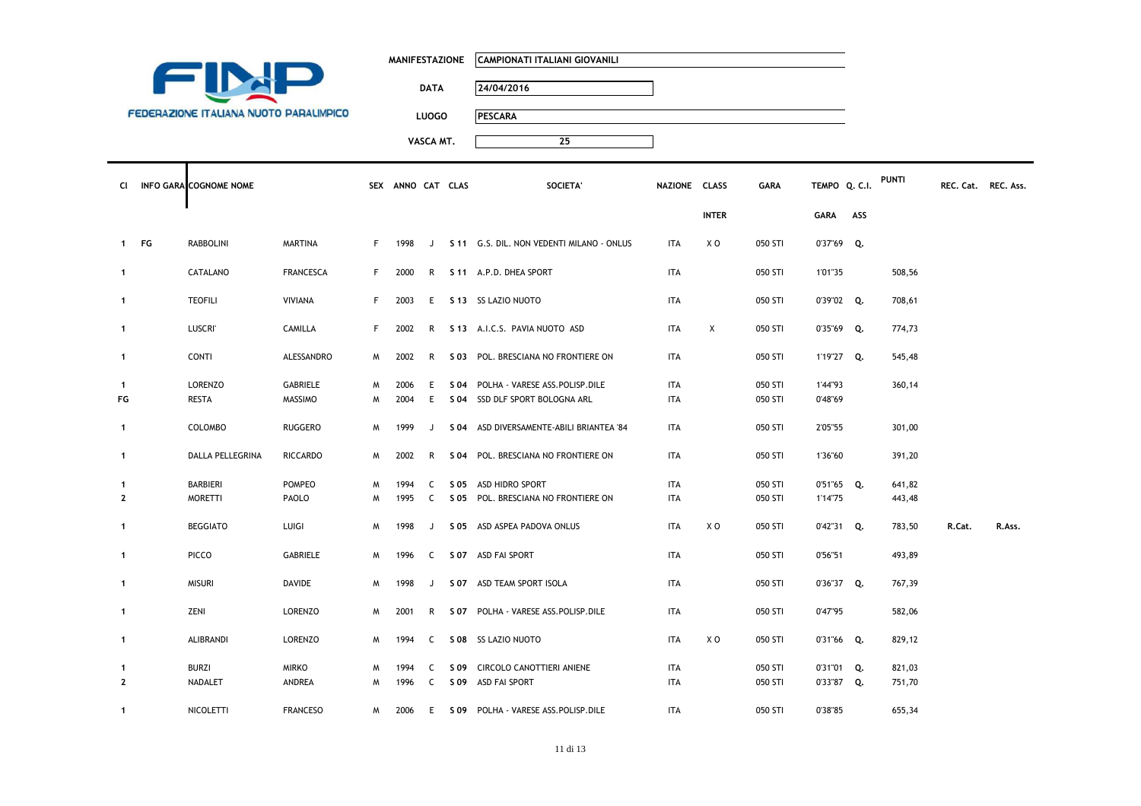|                                               | <b>MANIFESTAZIONE</b> | CAMPIONATI ITALIANI GIOVANILI |
|-----------------------------------------------|-----------------------|-------------------------------|
|                                               | <b>DATA</b>           | 24/04/2016                    |
| <b>FEDERAZIONE ITALIANA NUOTO PARALIMPICO</b> | LUOGO                 | <b>PESCARA</b>                |
|                                               | VASCA MT.             | 25                            |
|                                               |                       |                               |

| Сl                 | INFO GARA COGNOME NOME         |                            |        | SEX ANNO CAT CLAS |          | <b>SOCIETA</b>                                                        | NAZIONE CLASS            |              | <b>GARA</b>        | TEMPO Q. C.I.      |     | PUNTI  | REC. Cat. REC. Ass. |        |
|--------------------|--------------------------------|----------------------------|--------|-------------------|----------|-----------------------------------------------------------------------|--------------------------|--------------|--------------------|--------------------|-----|--------|---------------------|--------|
|                    |                                |                            |        |                   |          |                                                                       |                          | <b>INTER</b> |                    | <b>GARA</b>        | ASS |        |                     |        |
| 1 FG               | RABBOLINI                      | <b>MARTINA</b>             | F      | 1998              | J        | S 11 G.S. DIL. NON VEDENTI MILANO - ONLUS                             | <b>ITA</b>               | X O          | 050 STI            | 0'37"69 Q.         |     |        |                     |        |
| $\mathbf{1}$       | CATALANO                       | <b>FRANCESCA</b>           | F.     | 2000              | R        | S 11 A.P.D. DHEA SPORT                                                | ITA                      |              | 050 STI            | 1'01"35            |     | 508,56 |                     |        |
| 1                  | <b>TEOFILI</b>                 | <b>VIVIANA</b>             | F.     | 2003              | E.       | S 13 SS LAZIO NUOTO                                                   | ITA                      |              | 050 STI            | 0'39"02 Q.         |     | 708,61 |                     |        |
| $\mathbf{1}$       | <b>LUSCRI'</b>                 | CAMILLA                    | F.     | 2002              | R        | S 13 A.I.C.S. PAVIA NUOTO ASD                                         | ITA                      | X            | 050 STI            | $0'35''69$ Q.      |     | 774,73 |                     |        |
| $\mathbf{1}$       | <b>CONTI</b>                   | ALESSANDRO                 | M      | 2002              | R        | S 03 POL. BRESCIANA NO FRONTIERE ON                                   | <b>ITA</b>               |              | 050 STI            | 1'19"27 Q.         |     | 545,48 |                     |        |
| $\mathbf{1}$<br>FG | <b>LORENZO</b><br><b>RESTA</b> | GABRIELE<br><b>MASSIMO</b> | W<br>M | 2006<br>2004      | E.<br>E. | S 04 POLHA - VARESE ASS.POLISP.DILE<br>S 04 SSD DLF SPORT BOLOGNA ARL | <b>ITA</b><br><b>ITA</b> |              | 050 STI<br>050 STI | 1'44"93<br>0'48"69 |     | 360,14 |                     |        |
| $\mathbf{1}$       | COLOMBO                        | <b>RUGGERO</b>             | м      | 1999              | J        | S 04 ASD DIVERSAMENTE-ABILI BRIANTEA '84                              | ITA                      |              | 050 STI            | 2'05"55            |     | 301,00 |                     |        |
| $\mathbf{1}$       | DALLA PELLEGRINA               | <b>RICCARDO</b>            | M      | 2002              | R        | S 04 POL. BRESCIANA NO FRONTIERE ON                                   | <b>ITA</b>               |              | 050 STI            | 1'36"60            |     | 391,20 |                     |        |
| $\mathbf{1}$       | <b>BARBIERI</b>                | POMPEO                     | M      | 1994              | C        | S 05 ASD HIDRO SPORT                                                  | <b>ITA</b>               |              | 050 STI            | 0'51"65 Q.         |     | 641,82 |                     |        |
| $\mathbf{2}$       | <b>MORETTI</b>                 | PAOLO                      | м      | 1995              | C        | S 05 POL. BRESCIANA NO FRONTIERE ON                                   | ITA                      |              | 050 STI            | 1'14"75            |     | 443,48 |                     |        |
| 1                  | <b>BEGGIATO</b>                | LUIGI                      | M      | 1998              | J        | S 05 ASD ASPEA PADOVA ONLUS                                           | ITA                      | X O          | 050 STI            | 0'42"31 Q.         |     | 783,50 | R.Cat.              | R.Ass. |
| $\mathbf{1}$       | <b>PICCO</b>                   | GABRIELE                   | M      | 1996              | C        | S 07 ASD FAI SPORT                                                    | ITA                      |              | 050 STI            | 0'56"51            |     | 493,89 |                     |        |
| $\mathbf{1}$       | <b>MISURI</b>                  | DAVIDE                     | M      | 1998              | J        | S 07 ASD TEAM SPORT ISOLA                                             | ITA                      |              | 050 STI            | 0'36"37 Q.         |     | 767,39 |                     |        |
| $\mathbf{1}$       | ZENI                           | LORENZO                    | M      | 2001              | R        | S 07 POLHA - VARESE ASS.POLISP.DILE                                   | <b>ITA</b>               |              | 050 STI            | 0'47"95            |     | 582,06 |                     |        |
| $\mathbf{1}$       | ALIBRANDI                      | LORENZO                    | M      | 1994              | C        | S 08 SS LAZIO NUOTO                                                   | ITA                      | X O          | 050 STI            | 0'31"66 Q.         |     | 829,12 |                     |        |
| 1                  | <b>BURZI</b>                   | <b>MIRKO</b>               | M      | 1994              | C        | S 09 CIRCOLO CANOTTIERI ANIENE                                        | <b>ITA</b>               |              | 050 STI            | 0'31"01 Q.         |     | 821,03 |                     |        |
| $\mathbf{2}$       | NADALET                        | ANDREA                     | м      | 1996              | C        | S 09 ASD FAI SPORT                                                    | ITA                      |              | 050 STI            | 0'33"87 Q.         |     | 751,70 |                     |        |
| $\mathbf{1}$       | NICOLETTI                      | <b>FRANCESO</b>            | M      | 2006              | E        | S 09 POLHA - VARESE ASS. POLISP. DILE                                 | ITA                      |              | 050 STI            | 0'38"85            |     | 655,34 |                     |        |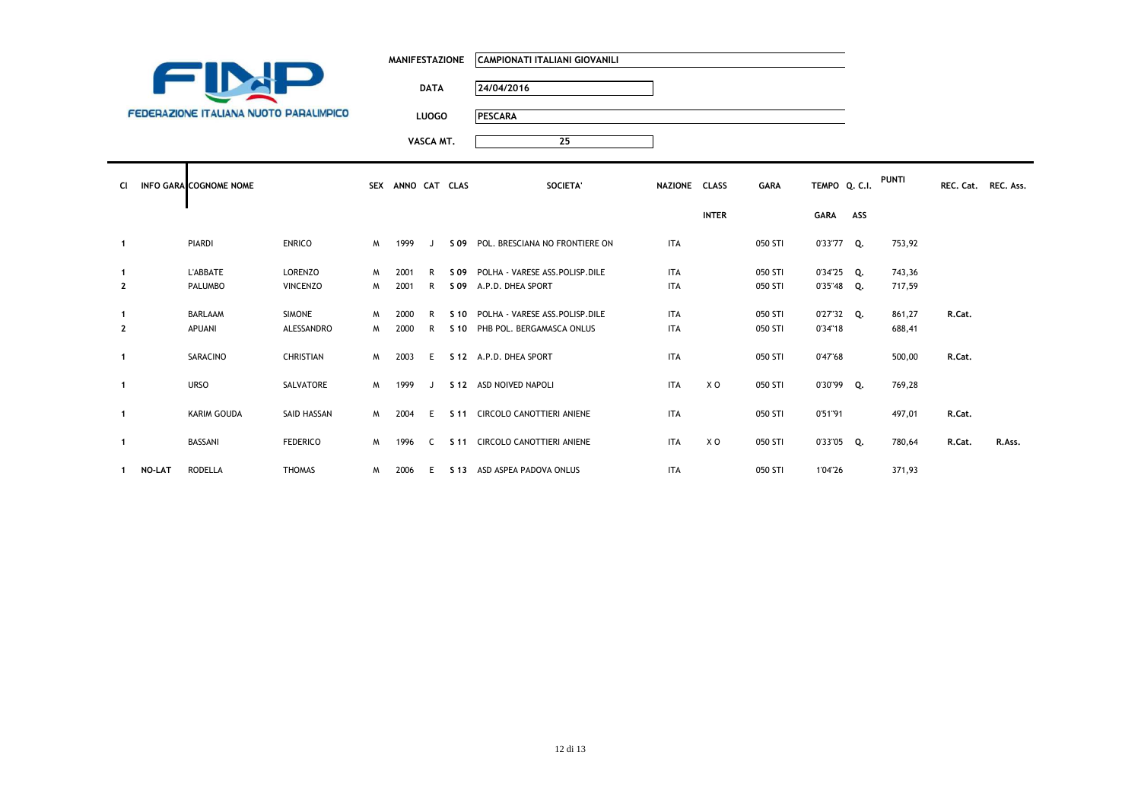|                                               | <b>MANIFESTAZIONE</b> | CAMPIONATI ITALIANI GIOVANILI |               |             |               |       |                     |  |
|-----------------------------------------------|-----------------------|-------------------------------|---------------|-------------|---------------|-------|---------------------|--|
|                                               | <b>DATA</b>           | 24/04/2016                    |               |             |               |       |                     |  |
| <b>FEDERAZIONE ITALIANA NUOTO PARALIMPICO</b> | <b>LUOGO</b>          | <b>PESCARA</b>                |               |             |               |       |                     |  |
|                                               | VASCA MT.             | 25                            |               |             |               |       |                     |  |
| CI INFO GARA COGNOME NOME                     | SEX ANNO CAT CLAS     | SOCIETA'                      | NAZIONE CLASS | <b>GARA</b> | TEMPO Q. C.I. | PUNTI | REC. Cat. REC. Ass. |  |

**Contract Contract** 

|                |                            |                             |          |              |        |              |                                                             |            | <b>INTER</b> |                    | <b>GARA</b>                    | ASS |                  |        |        |
|----------------|----------------------------|-----------------------------|----------|--------------|--------|--------------|-------------------------------------------------------------|------------|--------------|--------------------|--------------------------------|-----|------------------|--------|--------|
|                | PIARDI                     | <b>ENRICO</b>               | M        | 1999         |        |              | S 09 POL. BRESCIANA NO FRONTIERE ON                         | <b>ITA</b> |              | 050 STI            | 0'33"77 Q.                     |     | 753,92           |        |        |
| $\mathbf{2}$   | <b>L'ABBATE</b><br>PALUMBO | LORENZO<br>VINCENZO         | M<br>M   | 2001<br>2001 | R<br>R | S 09         | POLHA - VARESE ASS.POLISP.DILE<br>S 09 A.P.D. DHEA SPORT    | ITA<br>ITA |              | 050 STI<br>050 STI | $0'34''25$ Q.<br>$0'35''48$ Q. |     | 743,36<br>717,59 |        |        |
| $\overline{2}$ | BARLAAM<br>APUANI          | <b>SIMONE</b><br>ALESSANDRO | M<br>M   | 2000<br>2000 | R<br>R | S 10<br>S 10 | POLHA - VARESE ASS.POLISP.DILE<br>PHB POL. BERGAMASCA ONLUS | ITA<br>ITA |              | 050 STI<br>050 STI | $0'27''32$ Q.<br>0'34"18       |     | 861,27<br>688,41 | R.Cat. |        |
|                | SARACINO                   | <b>CHRISTIAN</b>            | <b>M</b> | 2003         | E      |              | S 12 A.P.D. DHEA SPORT                                      | <b>ITA</b> |              | 050 STI            | 0'47"68                        |     | 500,00           | R.Cat. |        |
|                | <b>URSO</b>                | SALVATORE                   | <b>M</b> | 1999         | . J.   |              | S 12 ASD NOIVED NAPOLI                                      | ITA        | X O          | 050 STI            | 0'30"99 Q.                     |     | 769,28           |        |        |
|                | KARIM GOUDA                | SAID HASSAN                 | <b>M</b> | 2004         | E.     |              | S 11 CIRCOLO CANOTTIERI ANIENE                              | <b>ITA</b> |              | 050 STI            | 0'51"91                        |     | 497,01           | R.Cat. |        |
|                | BASSANI                    | <b>FEDERICO</b>             | <b>M</b> | 1996         | C.     |              | S 11 CIRCOLO CANOTTIERI ANIENE                              | <b>ITA</b> | X O          | 050 STI            | 0'33"05 Q.                     |     | 780,64           | R.Cat. | R.Ass. |
|                | RODELLA<br>NO-LAT          | <b>THOMAS</b>               | M        | 2006         | E      |              | S 13 ASD ASPEA PADOVA ONLUS                                 | <b>ITA</b> |              | 050 STI            | 1'04"26                        |     | 371,93           |        |        |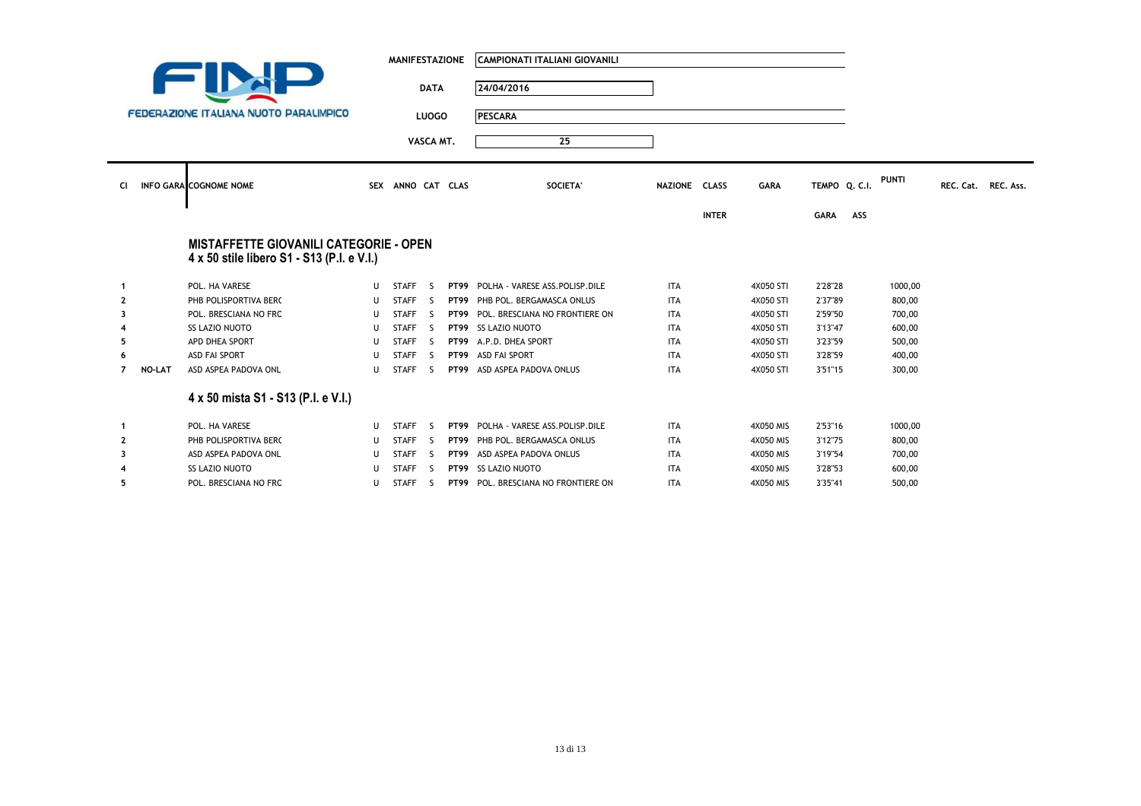|                |               |                                                                                             |    | <b>MANIFESTAZIONE</b> |              | <b>CAMPIONATI ITALIANI GIOVANILI</b> |               |              |             |               |     |              |                     |  |
|----------------|---------------|---------------------------------------------------------------------------------------------|----|-----------------------|--------------|--------------------------------------|---------------|--------------|-------------|---------------|-----|--------------|---------------------|--|
|                |               |                                                                                             |    |                       | <b>DATA</b>  | 24/04/2016                           |               |              |             |               |     |              |                     |  |
|                |               | FEDERAZIONE ITALIANA NUOTO PARALIMPICO                                                      |    |                       | <b>LUOGO</b> | <b>PESCARA</b>                       |               |              |             |               |     |              |                     |  |
|                |               |                                                                                             |    |                       |              |                                      |               |              |             |               |     |              |                     |  |
|                |               |                                                                                             |    |                       | VASCA MT.    | 25                                   |               |              |             |               |     |              |                     |  |
|                |               |                                                                                             |    |                       |              |                                      |               |              |             |               |     |              |                     |  |
| Cl             |               | <b>INFO GARA COGNOME NOME</b>                                                               |    | SEX ANNO CAT CLAS     |              | SOCIETA'                             | NAZIONE CLASS |              | <b>GARA</b> | TEMPO Q. C.I. |     | <b>PUNTI</b> | REC. Cat. REC. Ass. |  |
|                |               |                                                                                             |    |                       |              |                                      |               |              |             |               |     |              |                     |  |
|                |               |                                                                                             |    |                       |              |                                      |               | <b>INTER</b> |             | <b>GARA</b>   | ASS |              |                     |  |
|                |               |                                                                                             |    |                       |              |                                      |               |              |             |               |     |              |                     |  |
|                |               | <b>MISTAFFETTE GIOVANILI CATEGORIE - OPEN</b><br>4 x 50 stile libero S1 - S13 (P.I. e V.I.) |    |                       |              |                                      |               |              |             |               |     |              |                     |  |
|                |               |                                                                                             |    |                       |              |                                      |               |              |             |               |     |              |                     |  |
| $\mathbf{1}$   |               | POL. HA VARESE                                                                              | U  | <b>STAFF</b>          | - S          | PT99 POLHA - VARESE ASS.POLISP.DILE  | <b>ITA</b>    |              | 4X050 STI   | 2'28"28       |     | 1000,00      |                     |  |
| 2              |               | PHB POLISPORTIVA BERC                                                                       | U  | <b>STAFF</b>          | - S          | PT99 PHB POL. BERGAMASCA ONLUS       | <b>ITA</b>    |              | 4X050 STI   | 2'37"89       |     | 800,00       |                     |  |
| 3              |               | POL. BRESCIANA NO FRO                                                                       | U  | <b>STAFF</b>          | - S          | PT99 POL. BRESCIANA NO FRONTIERE ON  | <b>ITA</b>    |              | 4X050 STI   | 2'59"50       |     | 700,00       |                     |  |
|                |               | SS LAZIO NUOTO                                                                              |    | STAFF <sub>S</sub>    |              | PT99 SS LAZIO NUOTO                  | <b>ITA</b>    |              | 4X050 STI   | 3'13"47       |     | 600,00       |                     |  |
| 5              |               | APD DHEA SPORT                                                                              | U  | <b>STAFF</b>          | - S          | PT99 A.P.D. DHEA SPORT               | <b>ITA</b>    |              | 4X050 STI   | 3'23"59       |     | 500,00       |                     |  |
| 6              |               | <b>ASD FAI SPORT</b>                                                                        | IJ | <b>STAFF</b>          | -S           | PT99 ASD FAI SPORT                   | <b>ITA</b>    |              | 4X050 STI   | 3'28"59       |     | 400,00       |                     |  |
| $\overline{7}$ | <b>NO-LAT</b> | ASD ASPEA PADOVA ONL                                                                        | U  | <b>STAFF</b>          | - S          | PT99 ASD ASPEA PADOVA ONLUS          | <b>ITA</b>    |              | 4X050 STI   | 3'51"15       |     | 300,00       |                     |  |
|                |               | 4 x 50 mista S1 - S13 (P.I. e V.I.)                                                         |    |                       |              |                                      |               |              |             |               |     |              |                     |  |
| $\mathbf{1}$   |               | POL. HA VARESE                                                                              | U  | STAFF <sub>S</sub>    |              | PT99 POLHA - VARESE ASS.POLISP.DILE  | <b>ITA</b>    |              | 4X050 MIS   | 2'53"16       |     | 1000,00      |                     |  |
| $\mathbf{2}$   |               | PHB POLISPORTIVA BERC                                                                       | U  | <b>STAFF</b>          | - S          | PT99 PHB POL. BERGAMASCA ONLUS       | <b>ITA</b>    |              | 4X050 MIS   | 3'12"75       |     | 800,00       |                     |  |
| 3              |               | ASD ASPEA PADOVA ONL                                                                        | IJ | <b>STAFF</b>          | - S          | PT99 ASD ASPEA PADOVA ONLUS          | <b>ITA</b>    |              | 4X050 MIS   | 3'19"54       |     | 700,00       |                     |  |
|                |               | SS LAZIO NUOTO                                                                              |    | <b>STAFF</b>          | -S           | PT99 SS LAZIO NUOTO                  | <b>ITA</b>    |              | 4X050 MIS   | 3'28"53       |     | 600,00       |                     |  |
| 5              |               | POL. BRESCIANA NO FRO                                                                       | U  | <b>STAFF</b>          | -S           | PT99 POL. BRESCIANA NO FRONTIERE ON  | <b>ITA</b>    |              | 4X050 MIS   | 3'35"41       |     | 500,00       |                     |  |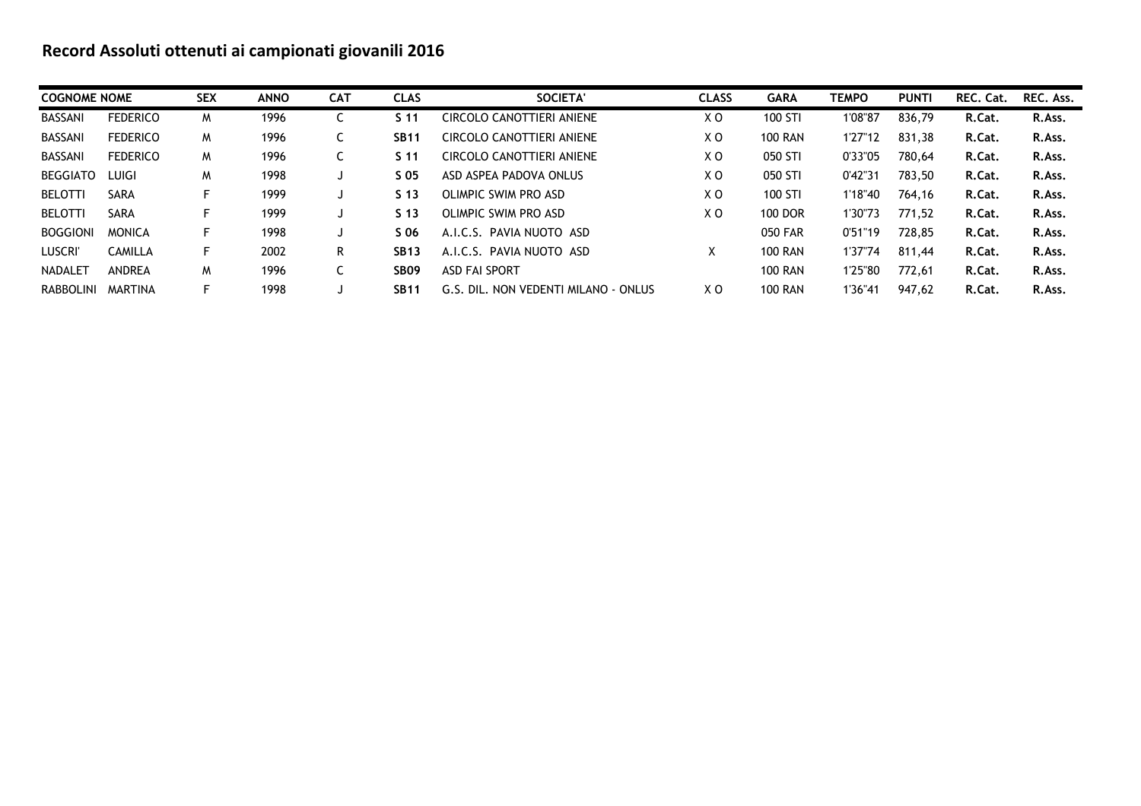# **Record Assoluti ottenuti ai campionati giovanili 2016**

| <b>COGNOME NOME</b> |                 | <b>SEX</b> | <b>ANNO</b> | <b>CAT</b> | <b>CLAS</b>      | SOCIETA'                             | <b>CLASS</b> | <b>GARA</b>    | <b>TEMPO</b> | <b>PUNTI</b> | REC. Cat. | REC. Ass. |
|---------------------|-----------------|------------|-------------|------------|------------------|--------------------------------------|--------------|----------------|--------------|--------------|-----------|-----------|
| BASSANI             | <b>FEDERICO</b> | M          | 1996        | ◡          | S <sub>11</sub>  | CIRCOLO CANOTTIERI ANIENE            | X O          | 100 STI        | 1'08"87      | 836,79       | R.Cat.    | R.Ass.    |
| BASSANI             | <b>FEDERICO</b> | M          | 1996        | U          | <b>SB11</b>      | CIRCOLO CANOTTIERI ANIENE            | X O          | <b>100 RAN</b> | 1'27"12      | 831,38       | R.Cat.    | R.Ass.    |
| BASSANI             | <b>FEDERICO</b> | M          | 1996        | C          | S <sub>11</sub>  | CIRCOLO CANOTTIERI ANIENE            | X O          | 050 STI        | 0'33"05      | 780,64       | R.Cat.    | R.Ass.    |
| <b>BEGGIATO</b>     | LUIGI           | M          | 1998        |            | S 05             | ASD ASPEA PADOVA ONLUS               | X O          | 050 STI        | 0'42"31      | 783.50       | R.Cat.    | R.Ass.    |
| BELOTTI             | <b>SARA</b>     | F.         | 1999        |            | S <sub>13</sub>  | OLIMPIC SWIM PRO ASD                 | X O          | 100 STI        | 1'18"40      | 764,16       | R.Cat.    | R.Ass.    |
| <b>BELOTTI</b>      | <b>SARA</b>     | E          | 1999        |            | S <sub>13</sub>  | OLIMPIC SWIM PRO ASD                 | X O          | <b>100 DOR</b> | 1'30"73      | 771.52       | R.Cat.    | R.Ass.    |
| <b>BOGGIONI</b>     | <b>MONICA</b>   | F.         | 1998        |            | S 06             | A.I.C.S. PAVIA NUOTO ASD             |              | 050 FAR        | 0'51"19      | 728,85       | R.Cat.    | R.Ass.    |
| <b>LUSCRI</b>       | CAMILLA         | F.         | 2002        | R          | <b>SB13</b>      | A.I.C.S. PAVIA NUOTO ASD             | x            | <b>100 RAN</b> | 1'37"74      | 811.44       | R.Cat.    | R.Ass.    |
| NADALET             | ANDREA          | M          | 1996        | C          | SB <sub>09</sub> | <b>ASD FAI SPORT</b>                 |              | <b>100 RAN</b> | 1'25"80      | 772,61       | R.Cat.    | R.Ass.    |
| RABBOLINI           | MARTINA         | F.         | 1998        |            | <b>SB11</b>      | G.S. DIL. NON VEDENTI MILANO - ONLUS | X O          | <b>100 RAN</b> | 1'36"41      | 947,62       | R.Cat.    | R.Ass.    |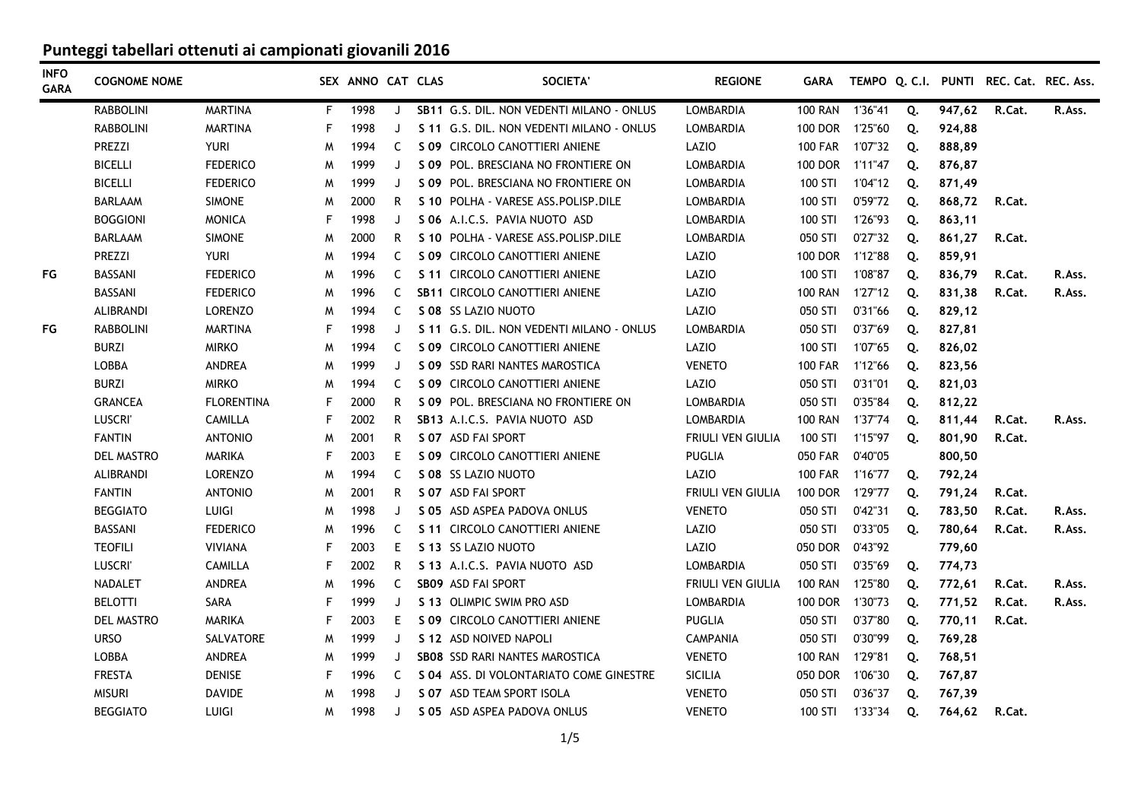| <b>INFO</b><br><b>GARA</b> | <b>COGNOME NOME</b> |                   |    | SEX ANNO CAT CLAS |         | <b>SOCIETA'</b>                           | <b>REGIONE</b>           | <b>GARA</b>    |         |    |        | TEMPO Q. C.I. PUNTI REC. Cat. REC. Ass. |        |
|----------------------------|---------------------|-------------------|----|-------------------|---------|-------------------------------------------|--------------------------|----------------|---------|----|--------|-----------------------------------------|--------|
|                            | <b>RABBOLINI</b>    | <b>MARTINA</b>    | F. | 1998              | J       | SB11 G.S. DIL. NON VEDENTI MILANO - ONLUS | <b>LOMBARDIA</b>         | <b>100 RAN</b> | 1'36"41 | Q. | 947,62 | R.Cat.                                  | R.Ass. |
|                            | <b>RABBOLINI</b>    | <b>MARTINA</b>    | F  | 1998              | J       | S 11 G.S. DIL. NON VEDENTI MILANO - ONLUS | LOMBARDIA                | 100 DOR        | 1'25"60 | Q. | 924,88 |                                         |        |
|                            | PREZZI              | <b>YURI</b>       | M  | 1994              | C       | S 09 CIRCOLO CANOTTIERI ANIENE            | LAZIO                    | <b>100 FAR</b> | 1'07"32 | Q. | 888,89 |                                         |        |
|                            | <b>BICELLI</b>      | <b>FEDERICO</b>   | M  | 1999              | J       | S 09 POL. BRESCIANA NO FRONTIERE ON       | LOMBARDIA                | <b>100 DOR</b> | 1'11"47 | Q. | 876,87 |                                         |        |
|                            | <b>BICELLI</b>      | <b>FEDERICO</b>   | M  | 1999              | J       | S 09 POL. BRESCIANA NO FRONTIERE ON       | LOMBARDIA                | 100 STI        | 1'04"12 | Q. | 871,49 |                                         |        |
|                            | <b>BARLAAM</b>      | <b>SIMONE</b>     | M  | 2000              | R.      | S 10 POLHA - VARESE ASS. POLISP. DILE     | LOMBARDIA                | 100 STI        | 0'59"72 | Q. | 868,72 | R.Cat.                                  |        |
|                            | <b>BOGGIONI</b>     | <b>MONICA</b>     | F  | 1998              | J       | S 06 A.I.C.S. PAVIA NUOTO ASD             | <b>LOMBARDIA</b>         | 100 STI        | 1'26"93 | Q. | 863,11 |                                         |        |
|                            | BARLAAM             | <b>SIMONE</b>     | M  | 2000              | R       | S 10 POLHA - VARESE ASS. POLISP. DILE     | LOMBARDIA                | 050 STI        | 0'27"32 | Q. | 861,27 | R.Cat.                                  |        |
|                            | <b>PREZZI</b>       | <b>YURI</b>       | M  | 1994              | C       | S 09 CIRCOLO CANOTTIERI ANIENE            | LAZIO                    | <b>100 DOR</b> | 1'12"88 | Q. | 859,91 |                                         |        |
| FG                         | <b>BASSANI</b>      | <b>FEDERICO</b>   | M  | 1996              | C.      | S 11 CIRCOLO CANOTTIERI ANIENE            | LAZIO                    | 100 STI        | 1'08"87 | Q. | 836,79 | R.Cat.                                  | R.Ass. |
|                            | <b>BASSANI</b>      | <b>FEDERICO</b>   | M  | 1996              | C       | SB11 CIRCOLO CANOTTIERI ANIENE            | LAZIO                    | <b>100 RAN</b> | 1'27"12 | Q. | 831,38 | R.Cat.                                  | R.Ass. |
|                            | <b>ALIBRANDI</b>    | <b>LORENZO</b>    | M  | 1994              | C.      | S 08 SS LAZIO NUOTO                       | LAZIO                    | 050 STI        | 0'31"66 | Q. | 829,12 |                                         |        |
| FG                         | <b>RABBOLINI</b>    | <b>MARTINA</b>    | F  | 1998              | J       | S 11 G.S. DIL. NON VEDENTI MILANO - ONLUS | LOMBARDIA                | 050 STI        | 0'37"69 | Q. | 827,81 |                                         |        |
|                            | <b>BURZI</b>        | <b>MIRKO</b>      | M  | 1994              | C       | S 09 CIRCOLO CANOTTIERI ANIENE            | LAZIO                    | 100 STI        | 1'07"65 | Q. | 826,02 |                                         |        |
|                            | LOBBA               | <b>ANDREA</b>     | M  | 1999              | J       | S 09 SSD RARI NANTES MAROSTICA            | <b>VENETO</b>            | <b>100 FAR</b> | 1'12"66 | Q. | 823,56 |                                         |        |
|                            | <b>BURZI</b>        | <b>MIRKO</b>      | M  | 1994              | C       | S 09 CIRCOLO CANOTTIERI ANIENE            | LAZIO                    | 050 STI        | 0'31"01 | Q. | 821,03 |                                         |        |
|                            | <b>GRANCEA</b>      | <b>FLORENTINA</b> | F  | 2000              | R.      | S 09 POL. BRESCIANA NO FRONTIERE ON       | <b>LOMBARDIA</b>         | 050 STI        | 0'35"84 | Q. | 812,22 |                                         |        |
|                            | <b>LUSCRI</b>       | <b>CAMILLA</b>    | F  | 2002              | R.      | SB13 A.I.C.S. PAVIA NUOTO ASD             | LOMBARDIA                | <b>100 RAN</b> | 1'37"74 | Q. | 811,44 | R.Cat.                                  | R.Ass. |
|                            | <b>FANTIN</b>       | <b>ANTONIO</b>    | M  | 2001              | R       | S 07 ASD FAI SPORT                        | <b>FRIULI VEN GIULIA</b> | 100 STI        | 1'15"97 | Q. | 801,90 | R.Cat.                                  |        |
|                            | <b>DEL MASTRO</b>   | <b>MARIKA</b>     | F  | 2003              | E.      | S 09 CIRCOLO CANOTTIERI ANIENE            | <b>PUGLIA</b>            | <b>050 FAR</b> | 0'40"05 |    | 800,50 |                                         |        |
|                            | ALIBRANDI           | <b>LORENZO</b>    | M  | 1994              | C       | S 08 SS LAZIO NUOTO                       | LAZIO                    | <b>100 FAR</b> | 1'16"77 | Q. | 792,24 |                                         |        |
|                            | <b>FANTIN</b>       | <b>ANTONIO</b>    | M  | 2001              | R.      | S 07 ASD FAI SPORT                        | <b>FRIULI VEN GIULIA</b> | <b>100 DOR</b> | 1'29"77 | Q. | 791,24 | R.Cat.                                  |        |
|                            | <b>BEGGIATO</b>     | LUIGI             | M  | 1998              | J       | S 05 ASD ASPEA PADOVA ONLUS               | <b>VENETO</b>            | 050 STI        | 0'42"31 | Q. | 783,50 | R.Cat.                                  | R.Ass. |
|                            | <b>BASSANI</b>      | <b>FEDERICO</b>   | м  | 1996              | C.      | S 11 CIRCOLO CANOTTIERI ANIENE            | LAZIO                    | 050 STI        | 0'33"05 | Q. | 780,64 | R.Cat.                                  | R.Ass. |
|                            | <b>TEOFILI</b>      | <b>VIVIANA</b>    | F  | 2003              | E.      | S 13 SS LAZIO NUOTO                       | LAZIO                    | 050 DOR        | 0'43"92 |    | 779,60 |                                         |        |
|                            | LUSCRI'             | <b>CAMILLA</b>    | F  | 2002              | R       | S 13 A.I.C.S. PAVIA NUOTO ASD             | <b>LOMBARDIA</b>         | 050 STI        | 0'35"69 | Q. | 774,73 |                                         |        |
|                            | NADALET             | ANDREA            | M  | 1996              | C       | SB09 ASD FAI SPORT                        | FRIULI VEN GIULIA        | <b>100 RAN</b> | 1'25"80 | Q. | 772,61 | R.Cat.                                  | R.Ass. |
|                            | <b>BELOTTI</b>      | <b>SARA</b>       | F  | 1999              | $\cdot$ | S 13 OLIMPIC SWIM PRO ASD                 | <b>LOMBARDIA</b>         | <b>100 DOR</b> | 1'30"73 | Q. | 771,52 | R.Cat.                                  | R.Ass. |
|                            | DEL MASTRO          | <b>MARIKA</b>     | F  | 2003              | E.      | S 09 CIRCOLO CANOTTIERI ANIENE            | PUGLIA                   | 050 STI        | 0'37"80 | Q. | 770,11 | R.Cat.                                  |        |
|                            | <b>URSO</b>         | SALVATORE         | M  | 1999              | J       | S 12 ASD NOIVED NAPOLI                    | <b>CAMPANIA</b>          | 050 STI        | 0'30"99 | Q. | 769,28 |                                         |        |
|                            | <b>LOBBA</b>        | ANDREA            | M  | 1999              | J       | <b>SBO8 SSD RARI NANTES MAROSTICA</b>     | <b>VENETO</b>            | <b>100 RAN</b> | 1'29"81 | Q. | 768,51 |                                         |        |
|                            | <b>FRESTA</b>       | <b>DENISE</b>     | F  | 1996              | C       | S 04 ASS. DI VOLONTARIATO COME GINESTRE   | <b>SICILIA</b>           | 050 DOR        | 1'06"30 | Q. | 767,87 |                                         |        |
|                            | <b>MISURI</b>       | <b>DAVIDE</b>     | M  | 1998              | J       | S 07 ASD TEAM SPORT ISOLA                 | <b>VENETO</b>            | 050 STI        | 0'36"37 | Q. | 767,39 |                                         |        |
|                            | <b>BEGGIATO</b>     | LUIGI             | W  | 1998              | J       | S 05 ASD ASPEA PADOVA ONLUS               | <b>VENETO</b>            | 100 STI        | 1'33"34 | Q. | 764,62 | R.Cat.                                  |        |
|                            |                     |                   |    |                   |         |                                           |                          |                |         |    |        |                                         |        |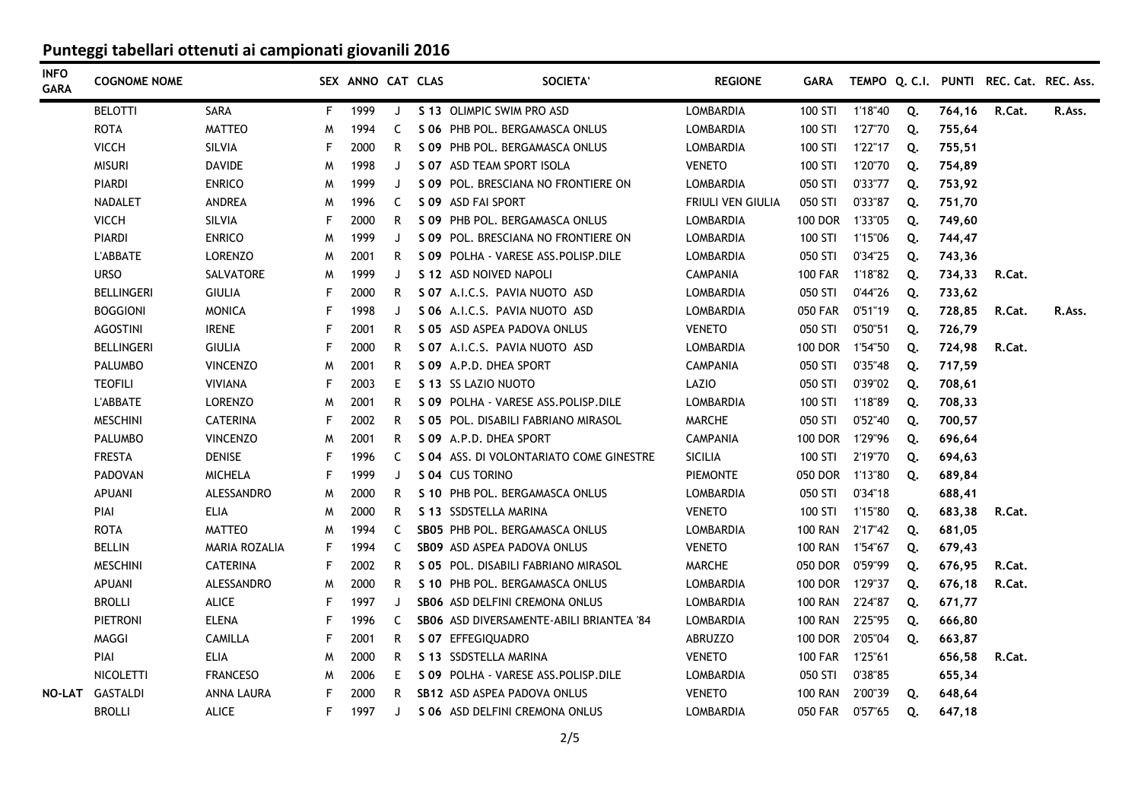| <b>INFO</b><br><b>GARA</b> | <b>COGNOME NOME</b> |                 |    | SEX ANNO CAT CLAS |    | <b>SOCIETA</b>                           | <b>REGIONE</b>           | <b>GARA</b>    |         |    |        | TEMPO Q. C.I. PUNTI REC. Cat. REC. Ass. |        |
|----------------------------|---------------------|-----------------|----|-------------------|----|------------------------------------------|--------------------------|----------------|---------|----|--------|-----------------------------------------|--------|
|                            | <b>BELOTTI</b>      | <b>SARA</b>     | F. | 1999              | J  | S 13 OLIMPIC SWIM PRO ASD                | <b>LOMBARDIA</b>         | 100 STI        | 1'18"40 | Q. | 764,16 | R.Cat.                                  | R.Ass. |
|                            | <b>ROTA</b>         | <b>MATTEO</b>   | M  | 1994              | C  | S 06 PHB POL. BERGAMASCA ONLUS           | LOMBARDIA                | 100 STI        | 1'27"70 | Q. | 755,64 |                                         |        |
|                            | <b>VICCH</b>        | SILVIA          | F  | 2000              | R  | S 09 PHB POL. BERGAMASCA ONLUS           | LOMBARDIA                | 100 STI        | 1'22"17 | Q. | 755,51 |                                         |        |
|                            | <b>MISURI</b>       | <b>DAVIDE</b>   | M  | 1998              | J  | S 07 ASD TEAM SPORT ISOLA                | <b>VENETO</b>            | 100 STI        | 1'20"70 | Q. | 754,89 |                                         |        |
|                            | <b>PIARDI</b>       | <b>ENRICO</b>   | M  | 1999              | J  | S 09 POL. BRESCIANA NO FRONTIERE ON      | LOMBARDIA                | 050 STI        | 0'33"77 | Q. | 753,92 |                                         |        |
|                            | <b>NADALET</b>      | ANDREA          | M  | 1996              | C  | S 09 ASD FAI SPORT                       | <b>FRIULI VEN GIULIA</b> | 050 STI        | 0'33"87 | Q. | 751,70 |                                         |        |
|                            | <b>VICCH</b>        | SILVIA          | F  | 2000              | R  | S 09 PHB POL, BERGAMASCA ONLUS           | LOMBARDIA                | <b>100 DOR</b> | 1'33"05 | Q. | 749,60 |                                         |        |
|                            | <b>PIARDI</b>       | <b>ENRICO</b>   | M  | 1999              | J  | S 09 POL. BRESCIANA NO FRONTIERE ON      | <b>LOMBARDIA</b>         | 100 STI        | 1'15"06 | Q. | 744,47 |                                         |        |
|                            | <b>L'ABBATE</b>     | <b>LORENZO</b>  | M  | 2001              | R  | S 09 POLHA - VARESE ASS.POLISP.DILE      | LOMBARDIA                | 050 STI        | 0'34"25 | Q. | 743,36 |                                         |        |
|                            | <b>URSO</b>         | SALVATORE       | M  | 1999              | J  | S 12 ASD NOIVED NAPOLI                   | <b>CAMPANIA</b>          | <b>100 FAR</b> | 1'18"82 | Q. | 734,33 | R.Cat.                                  |        |
|                            | <b>BELLINGERI</b>   | GIULIA          | F  | 2000              | R  | S 07 A.I.C.S. PAVIA NUOTO ASD            | LOMBARDIA                | 050 STI        | 0'44"26 | Q. | 733,62 |                                         |        |
|                            | <b>BOGGIONI</b>     | <b>MONICA</b>   | F  | 1998              | J  | S 06 A.I.C.S. PAVIA NUOTO ASD            | LOMBARDIA                | 050 FAR        | 0'51"19 | Q. | 728,85 | R.Cat.                                  | R.Ass. |
|                            | <b>AGOSTINI</b>     | <b>IRENE</b>    | F  | 2001              | R. | S 05 ASD ASPEA PADOVA ONLUS              | <b>VENETO</b>            | 050 STI        | 0'50"51 | Q. | 726,79 |                                         |        |
|                            | <b>BELLINGERI</b>   | <b>GIULIA</b>   | F  | 2000              | R. | S 07 A.I.C.S. PAVIA NUOTO ASD            | LOMBARDIA                | 100 DOR        | 1'54"50 | Q. | 724,98 | R.Cat.                                  |        |
|                            | <b>PALUMBO</b>      | <b>VINCENZO</b> | M  | 2001              | R. | S 09 A.P.D. DHEA SPORT                   | <b>CAMPANIA</b>          | 050 STI        | 0'35"48 | Q. | 717,59 |                                         |        |
|                            | <b>TEOFILI</b>      | <b>VIVIANA</b>  | F  | 2003              | E. | S 13 SS LAZIO NUOTO                      | LAZIO                    | 050 STI        | 0'39"02 | Q. | 708,61 |                                         |        |
|                            | L'ABBATE            | <b>LORENZO</b>  | M  | 2001              | R. | S 09 POLHA - VARESE ASS. POLISP. DILE    | <b>LOMBARDIA</b>         | 100 STI        | 1'18"89 | Q. | 708,33 |                                         |        |
|                            | <b>MESCHINI</b>     | <b>CATERINA</b> | F  | 2002              | R. | S 05 POL. DISABILI FABRIANO MIRASOL      | <b>MARCHE</b>            | 050 STI        | 0'52"40 | Q. | 700,57 |                                         |        |
|                            | <b>PALUMBO</b>      | <b>VINCENZO</b> | M  | 2001              | R. | S 09 A.P.D. DHEA SPORT                   | <b>CAMPANIA</b>          | <b>100 DOR</b> | 1'29"96 | Q. | 696,64 |                                         |        |
|                            | <b>FRESTA</b>       | <b>DENISE</b>   | F  | 1996              | C  | S 04 ASS. DI VOLONTARIATO COME GINESTRE  | <b>SICILIA</b>           | 100 STI        | 2'19"70 | Q. | 694,63 |                                         |        |
|                            | <b>PADOVAN</b>      | <b>MICHELA</b>  | F  | 1999              | J  | S 04 CUS TORINO                          | <b>PIEMONTE</b>          | 050 DOR        | 1'13"80 | Q. | 689,84 |                                         |        |
|                            | <b>APUANI</b>       | ALESSANDRO      | M  | 2000              | R  | S 10 PHB POL, BERGAMASCA ONLUS           | LOMBARDIA                | 050 STI        | 0'34"18 |    | 688,41 |                                         |        |
|                            | PIAI                | <b>ELIA</b>     | M  | 2000              | R. | S 13 SSDSTELLA MARINA                    | <b>VENETO</b>            | 100 STI        | 1'15"80 | Q. | 683,38 | R.Cat.                                  |        |
|                            | <b>ROTA</b>         | <b>MATTEO</b>   | M  | 1994              | C. | SB05 PHB POL, BERGAMASCA ONLUS           | LOMBARDIA                | <b>100 RAN</b> | 2'17"42 | Q. | 681,05 |                                         |        |
|                            | <b>BELLIN</b>       | MARIA ROZALIA   | F  | 1994              | C  | SB09 ASD ASPEA PADOVA ONLUS              | <b>VENETO</b>            | <b>100 RAN</b> | 1'54"67 | Q. | 679,43 |                                         |        |
|                            | <b>MESCHINI</b>     | <b>CATERINA</b> | F  | 2002              | R  | S 05 POL. DISABILI FABRIANO MIRASOL      | <b>MARCHE</b>            | 050 DOR        | 0'59"99 | Q. | 676,95 | R.Cat.                                  |        |
|                            | <b>APUANI</b>       | ALESSANDRO      | M  | 2000              | R. | S 10 PHB POL. BERGAMASCA ONLUS           | LOMBARDIA                | <b>100 DOR</b> | 1'29"37 | Q. | 676,18 | R.Cat.                                  |        |
|                            | <b>BROLLI</b>       | <b>ALICE</b>    | F  | 1997              | J  | SB06 ASD DELFINI CREMONA ONLUS           | LOMBARDIA                | <b>100 RAN</b> | 2'24"87 | Q. | 671,77 |                                         |        |
|                            | <b>PIETRONI</b>     | <b>ELENA</b>    | F  | 1996              | C  | SBO6 ASD DIVERSAMENTE-ABILI BRIANTEA '84 | LOMBARDIA                | <b>100 RAN</b> | 2'25"95 | Q. | 666,80 |                                         |        |
|                            | MAGGI               | <b>CAMILLA</b>  | F  | 2001              | R. | S 07 EFFEGIQUADRO                        | ABRUZZO                  | <b>100 DOR</b> | 2'05"04 | Q. | 663,87 |                                         |        |
|                            | PIAI                | <b>ELIA</b>     | M  | 2000              | R. | S 13 SSDSTELLA MARINA                    | <b>VENETO</b>            | 100 FAR        | 1'25"61 |    | 656,58 | R.Cat.                                  |        |
|                            | <b>NICOLETTI</b>    | <b>FRANCESO</b> | M  | 2006              | E. | S 09 POLHA - VARESE ASS. POLISP. DILE    | LOMBARDIA                | 050 STI        | 0'38"85 |    | 655,34 |                                         |        |
|                            | NO-LAT GASTALDI     | ANNA LAURA      | F  | 2000              | R  | SB12 ASD ASPEA PADOVA ONLUS              | <b>VENETO</b>            | <b>100 RAN</b> | 2'00"39 | Q. | 648,64 |                                         |        |
|                            | <b>BROLLI</b>       | <b>ALICE</b>    | F  | 1997              | J  | S 06 ASD DELFINI CREMONA ONLUS           | LOMBARDIA                | <b>050 FAR</b> | 0'57"65 | Q. | 647,18 |                                         |        |
|                            |                     |                 |    |                   |    |                                          |                          |                |         |    |        |                                         |        |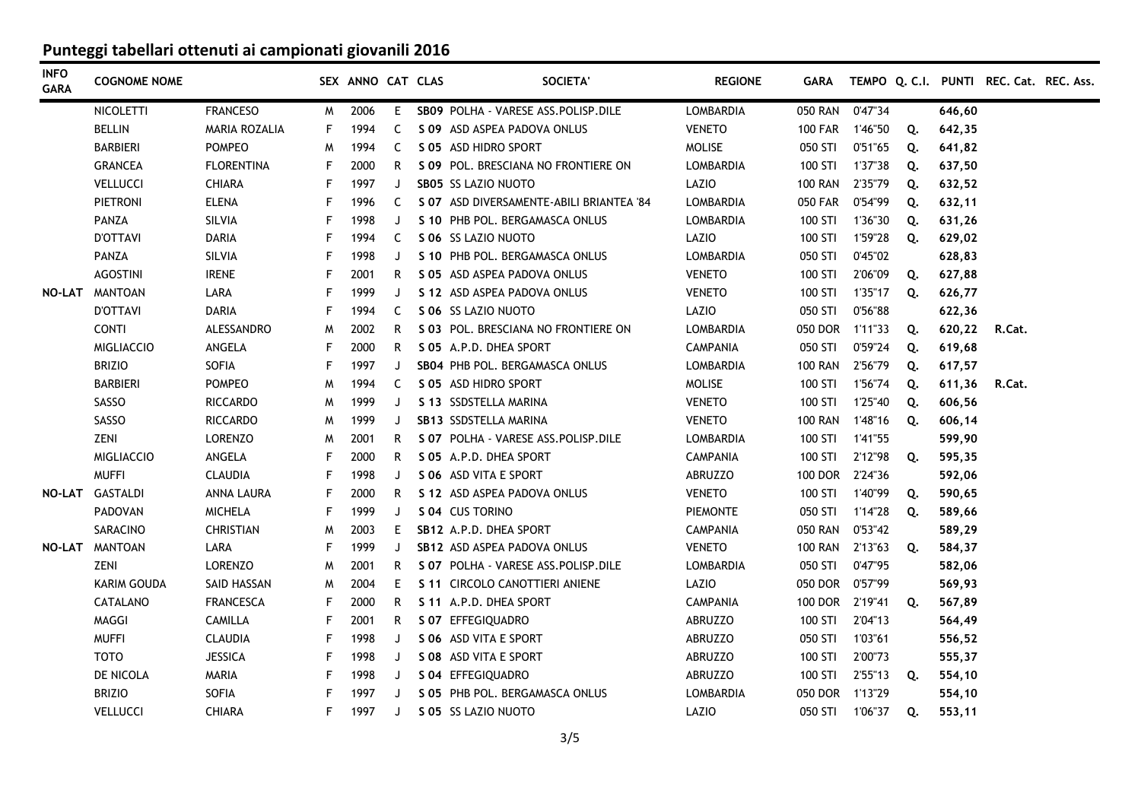| <b>INFO</b><br><b>GARA</b> | <b>COGNOME NOME</b>   |                      |    | SEX ANNO CAT CLAS |         | <b>SOCIETA'</b>                          | <b>REGIONE</b>   | <b>GARA</b>     |         |    |        | TEMPO Q. C.I. PUNTI REC. Cat. REC. Ass. |  |
|----------------------------|-----------------------|----------------------|----|-------------------|---------|------------------------------------------|------------------|-----------------|---------|----|--------|-----------------------------------------|--|
|                            | <b>NICOLETTI</b>      | <b>FRANCESO</b>      | M  | 2006              | E.      | SB09 POLHA - VARESE ASS. POLISP. DILE    | <b>LOMBARDIA</b> | 050 RAN 0'47"34 |         |    | 646,60 |                                         |  |
|                            | <b>BELLIN</b>         | <b>MARIA ROZALIA</b> | F. | 1994              | C.      | S 09 ASD ASPEA PADOVA ONLUS              | <b>VENETO</b>    | 100 FAR 1'46"50 |         | Q. | 642,35 |                                         |  |
|                            | <b>BARBIERI</b>       | <b>POMPEO</b>        | м  | 1994              | C       | S 05 ASD HIDRO SPORT                     | <b>MOLISE</b>    | 050 STI         | 0'51"65 | Q. | 641,82 |                                         |  |
|                            | <b>GRANCEA</b>        | <b>FLORENTINA</b>    | F  | 2000              | R       | S 09 POL. BRESCIANA NO FRONTIERE ON      | LOMBARDIA        | 100 STI         | 1'37"38 | Q. | 637,50 |                                         |  |
|                            | VELLUCCI              | <b>CHIARA</b>        | F  | 1997              | J       | <b>SB05 SS LAZIO NUOTO</b>               | LAZIO            | <b>100 RAN</b>  | 2'35"79 | Q. | 632,52 |                                         |  |
|                            | <b>PIETRONI</b>       | <b>ELENA</b>         | F  | 1996              | C       | S 07 ASD DIVERSAMENTE-ABILI BRIANTEA '84 | LOMBARDIA        | <b>050 FAR</b>  | 0'54"99 | Q. | 632,11 |                                         |  |
|                            | PANZA                 | SILVIA               | F  | 1998              | J       | S 10 PHB POL. BERGAMASCA ONLUS           | <b>LOMBARDIA</b> | 100 STI         | 1'36"30 | Q. | 631,26 |                                         |  |
|                            | <b>D'OTTAVI</b>       | <b>DARIA</b>         | F  | 1994              | C       | S 06 SS LAZIO NUOTO                      | LAZIO            | 100 STI         | 1'59"28 | Q. | 629,02 |                                         |  |
|                            | <b>PANZA</b>          | SILVIA               | F  | 1998              | J       | S 10 PHB POL. BERGAMASCA ONLUS           | LOMBARDIA        | 050 STI         | 0'45"02 |    | 628,83 |                                         |  |
|                            | <b>AGOSTINI</b>       | <b>IRENE</b>         | F  | 2001              | R       | S 05 ASD ASPEA PADOVA ONLUS              | <b>VENETO</b>    | 100 STI         | 2'06"09 | Q. | 627,88 |                                         |  |
|                            | <b>NO-LAT MANTOAN</b> | LARA                 | F  | 1999              | J       | S 12 ASD ASPEA PADOVA ONLUS              | <b>VENETO</b>    | 100 STI         | 1'35"17 | Q. | 626,77 |                                         |  |
|                            | <b>D'OTTAVI</b>       | <b>DARIA</b>         | F  | 1994              | C       | S 06 SS LAZIO NUOTO                      | LAZIO            | 050 STI         | 0'56"88 |    | 622,36 |                                         |  |
|                            | <b>CONTI</b>          | ALESSANDRO           | M  | 2002              | R       | S 03 POL. BRESCIANA NO FRONTIERE ON      | LOMBARDIA        | 050 DOR 1'11"33 |         | Q. | 620,22 | R.Cat.                                  |  |
|                            | <b>MIGLIACCIO</b>     | ANGELA               | F  | 2000              | R       | S 05 A.P.D. DHEA SPORT                   | <b>CAMPANIA</b>  | 050 STI         | 0'59"24 | Q. | 619,68 |                                         |  |
|                            | <b>BRIZIO</b>         | SOFIA                | F  | 1997              | J       | SB04 PHB POL, BERGAMASCA ONLUS           | LOMBARDIA        | <b>100 RAN</b>  | 2'56"79 | Q. | 617,57 |                                         |  |
|                            | <b>BARBIERI</b>       | POMPEO               | M  | 1994              | C       | S 05 ASD HIDRO SPORT                     | <b>MOLISE</b>    | 100 STI         | 1'56"74 | Q. | 611,36 | R.Cat.                                  |  |
|                            | SASSO                 | <b>RICCARDO</b>      | M  | 1999              | J       | S 13 SSDSTELLA MARINA                    | <b>VENETO</b>    | 100 STI         | 1'25"40 | Q. | 606,56 |                                         |  |
|                            | SASSO                 | <b>RICCARDO</b>      | M  | 1999              | J       | SB13 SSDSTELLA MARINA                    | <b>VENETO</b>    | 100 RAN 1'48"16 |         | Q. | 606,14 |                                         |  |
|                            | ZENI                  | <b>LORENZO</b>       | M  | 2001              | R       | S 07 POLHA - VARESE ASS. POLISP. DILE    | LOMBARDIA        | 100 STI         | 1'41"55 |    | 599,90 |                                         |  |
|                            | <b>MIGLIACCIO</b>     | ANGELA               | F  | 2000              | R       | S 05 A.P.D. DHEA SPORT                   | <b>CAMPANIA</b>  | 100 STI         | 2'12"98 | Q. | 595,35 |                                         |  |
|                            | <b>MUFFI</b>          | <b>CLAUDIA</b>       | F  | 1998              | J       | S 06 ASD VITA E SPORT                    | ABRUZZO          | <b>100 DOR</b>  | 2'24"36 |    | 592,06 |                                         |  |
| NO-LAT                     | GASTALDI              | ANNA LAURA           | F  | 2000              | R       | S 12 ASD ASPEA PADOVA ONLUS              | <b>VENETO</b>    | 100 STI         | 1'40"99 | Q. | 590,65 |                                         |  |
|                            | PADOVAN               | <b>MICHELA</b>       | F  | 1999              | J       | S 04 CUS TORINO                          | <b>PIEMONTE</b>  | 050 STI         | 1'14"28 | Q. | 589,66 |                                         |  |
|                            | SARACINO              | <b>CHRISTIAN</b>     | M  | 2003              | E.      | SB12 A.P.D. DHEA SPORT                   | <b>CAMPANIA</b>  | 050 RAN         | 0'53"42 |    | 589,29 |                                         |  |
| NO-LAT                     | <b>MANTOAN</b>        | LARA                 | F  | 1999              | J       | SB12 ASD ASPEA PADOVA ONLUS              | <b>VENETO</b>    | 100 RAN 2'13"63 |         | Q. | 584,37 |                                         |  |
|                            | ZENI                  | <b>LORENZO</b>       | M  | 2001              | R       | S 07 POLHA - VARESE ASS. POLISP. DILE    | LOMBARDIA        | 050 STI         | 0'47"95 |    | 582,06 |                                         |  |
|                            | KARIM GOUDA           | SAID HASSAN          | M  | 2004              | E.      | S 11 CIRCOLO CANOTTIERI ANIENE           | LAZIO            | 050 DOR         | 0'57"99 |    | 569,93 |                                         |  |
|                            | <b>CATALANO</b>       | <b>FRANCESCA</b>     | F  | 2000              | R       | S 11 A.P.D. DHEA SPORT                   | <b>CAMPANIA</b>  | 100 DOR 2'19"41 |         | Q. | 567,89 |                                         |  |
|                            | MAGGI                 | <b>CAMILLA</b>       |    | 2001              | R       | S 07 EFFEGIQUADRO                        | ABRUZZO          | 100 STI         | 2'04"13 |    | 564,49 |                                         |  |
|                            | <b>MUFFI</b>          | <b>CLAUDIA</b>       | F  | 1998              | J       | S 06 ASD VITA E SPORT                    | <b>ABRUZZO</b>   | 050 STI         | 1'03"61 |    | 556,52 |                                         |  |
|                            | тото                  | <b>JESSICA</b>       | F  | 1998              | J       | S 08 ASD VITA E SPORT                    | ABRUZZO          | 100 STI         | 2'00"73 |    | 555,37 |                                         |  |
|                            | DE NICOLA             | <b>MARIA</b>         | F  | 1998              | J       | S 04 EFFEGIQUADRO                        | ABRUZZO          | 100 STI         | 2'55"13 | Q. | 554,10 |                                         |  |
|                            | <b>BRIZIO</b>         | SOFIA                |    | 1997              | $\cdot$ | S 05 PHB POL, BERGAMASCA ONLUS           | LOMBARDIA        | 050 DOR         | 1'13"29 |    | 554,10 |                                         |  |
|                            | <b>VELLUCCI</b>       | <b>CHIARA</b>        | F  | 1997              | J       | S 05 SS LAZIO NUOTO                      | LAZIO            | 050 STI         | 1'06"37 | Q. | 553,11 |                                         |  |
|                            |                       |                      |    |                   |         |                                          |                  |                 |         |    |        |                                         |  |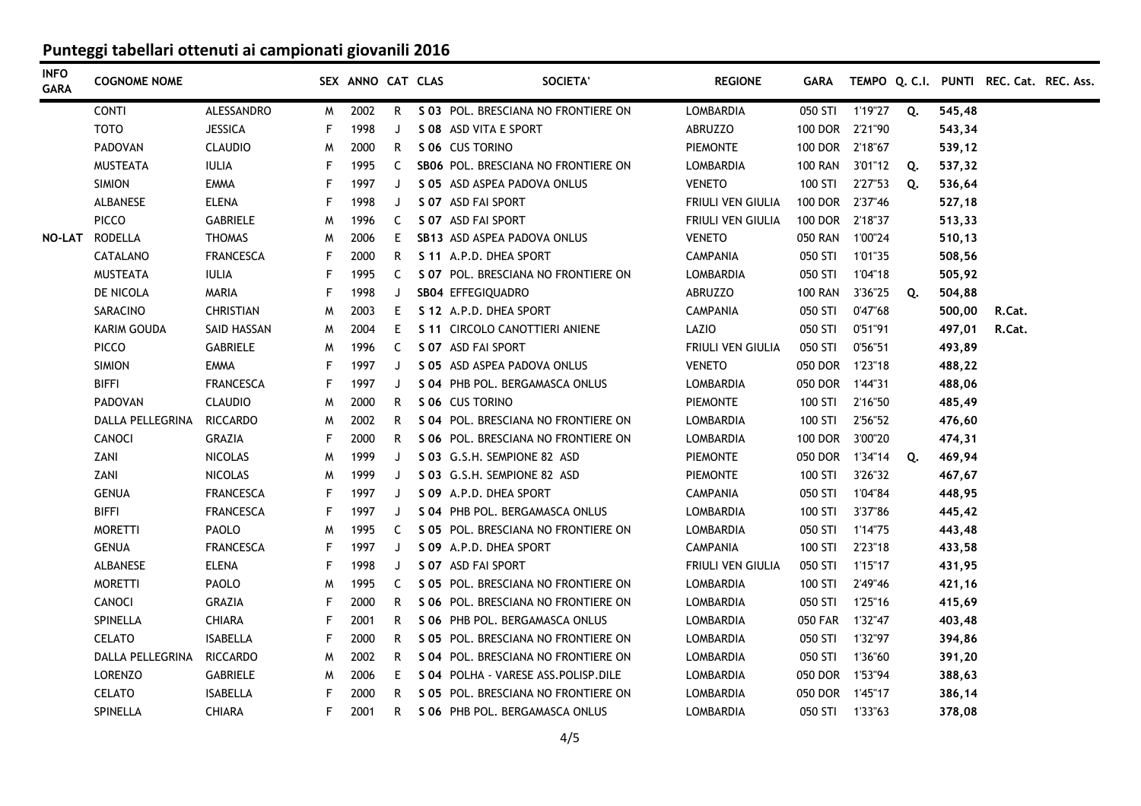| <b>INFO</b><br><b>GARA</b> | <b>COGNOME NOME</b> |                  |   | SEX ANNO CAT CLAS |    | <b>SOCIETA'</b>                       | <b>REGIONE</b>           | <b>GARA</b>     |         |    |        | TEMPO Q. C.I. PUNTI REC. Cat. REC. Ass. |  |
|----------------------------|---------------------|------------------|---|-------------------|----|---------------------------------------|--------------------------|-----------------|---------|----|--------|-----------------------------------------|--|
|                            | <b>CONTI</b>        | ALESSANDRO       | M | 2002              | R. | S 03 POL. BRESCIANA NO FRONTIERE ON   | <b>LOMBARDIA</b>         | 050 STI         | 1'19"27 | Q. | 545,48 |                                         |  |
|                            | <b>TOTO</b>         | <b>JESSICA</b>   | F | 1998              | J  | S 08 ASD VITA E SPORT                 | <b>ABRUZZO</b>           | 100 DOR 2'21"90 |         |    | 543,34 |                                         |  |
|                            | <b>PADOVAN</b>      | <b>CLAUDIO</b>   | M | 2000              | R. | S 06 CUS TORINO                       | <b>PIEMONTE</b>          | 100 DOR 2'18"67 |         |    | 539,12 |                                         |  |
|                            | <b>MUSTEATA</b>     | <b>IULIA</b>     | F | 1995              | C  | SB06 POL. BRESCIANA NO FRONTIERE ON   | LOMBARDIA                | <b>100 RAN</b>  | 3'01"12 | Q. | 537,32 |                                         |  |
|                            | <b>SIMION</b>       | <b>EMMA</b>      | F | 1997              | J  | S 05 ASD ASPEA PADOVA ONLUS           | <b>VENETO</b>            | 100 STI         | 2'27"53 | Q. | 536,64 |                                         |  |
|                            | ALBANESE            | <b>ELENA</b>     | F | 1998              | J  | S 07 ASD FAI SPORT                    | <b>FRIULI VEN GIULIA</b> | 100 DOR 2'37"46 |         |    | 527,18 |                                         |  |
|                            | <b>PICCO</b>        | <b>GABRIELE</b>  | M | 1996              | C  | S 07 ASD FAI SPORT                    | <b>FRIULI VEN GIULIA</b> | 100 DOR         | 2'18"37 |    | 513,33 |                                         |  |
|                            | NO-LAT RODELLA      | <b>THOMAS</b>    | W | 2006              | E. | SB13 ASD ASPEA PADOVA ONLUS           | <b>VENETO</b>            | <b>050 RAN</b>  | 1'00"24 |    | 510,13 |                                         |  |
|                            | CATALANO            | <b>FRANCESCA</b> | F | 2000              | R. | S 11 A.P.D. DHEA SPORT                | <b>CAMPANIA</b>          | 050 STI         | 1'01"35 |    | 508,56 |                                         |  |
|                            | <b>MUSTEATA</b>     | <b>IULIA</b>     | F | 1995              | C  | S 07 POL. BRESCIANA NO FRONTIERE ON   | LOMBARDIA                | 050 STI         | 1'04"18 |    | 505,92 |                                         |  |
|                            | DE NICOLA           | <b>MARIA</b>     | F | 1998              | J  | SB04 EFFEGIQUADRO                     | ABRUZZO                  | <b>100 RAN</b>  | 3'36"25 | Q. | 504,88 |                                         |  |
|                            | SARACINO            | <b>CHRISTIAN</b> | M | 2003              | E. | S 12 A.P.D. DHEA SPORT                | <b>CAMPANIA</b>          | 050 STI         | 0'47"68 |    | 500,00 | R.Cat.                                  |  |
|                            | KARIM GOUDA         | SAID HASSAN      | M | 2004              | E  | S 11 CIRCOLO CANOTTIERI ANIENE        | LAZIO                    | 050 STI         | 0'51"91 |    | 497,01 | R.Cat.                                  |  |
|                            | <b>PICCO</b>        | <b>GABRIELE</b>  | W | 1996              | C  | S 07 ASD FAI SPORT                    | FRIULI VEN GIULIA        | 050 STI         | 0'56"51 |    | 493,89 |                                         |  |
|                            | <b>SIMION</b>       | EMMA             | F | 1997              | J  | S 05 ASD ASPEA PADOVA ONLUS           | <b>VENETO</b>            | 050 DOR 1'23"18 |         |    | 488,22 |                                         |  |
|                            | <b>BIFFI</b>        | <b>FRANCESCA</b> | F | 1997              | J  | S 04 PHB POL. BERGAMASCA ONLUS        | LOMBARDIA                | 050 DOR 1'44"31 |         |    | 488,06 |                                         |  |
|                            | <b>PADOVAN</b>      | <b>CLAUDIO</b>   | M | 2000              | R. | S 06 CUS TORINO                       | <b>PIEMONTE</b>          | 100 STI         | 2'16"50 |    | 485,49 |                                         |  |
|                            | DALLA PELLEGRINA    | <b>RICCARDO</b>  | M | 2002              | R. | S 04 POL. BRESCIANA NO FRONTIERE ON   | LOMBARDIA                | 100 STI         | 2'56"52 |    | 476,60 |                                         |  |
|                            | CANOCI              | <b>GRAZIA</b>    | F | 2000              | R  | S 06 POL. BRESCIANA NO FRONTIERE ON   | LOMBARDIA                | <b>100 DOR</b>  | 3'00"20 |    | 474,31 |                                         |  |
|                            | ZANI                | <b>NICOLAS</b>   | M | 1999              | J  | S 03 G.S.H. SEMPIONE 82 ASD           | <b>PIEMONTE</b>          | 050 DOR         | 1'34"14 | Q. | 469,94 |                                         |  |
|                            | ZANI                | <b>NICOLAS</b>   | W | 1999              | J  | S 03 G.S.H. SEMPIONE 82 ASD           | <b>PIEMONTE</b>          | 100 STI         | 3'26"32 |    | 467,67 |                                         |  |
|                            | <b>GENUA</b>        | <b>FRANCESCA</b> | F | 1997              | J  | S 09 A.P.D. DHEA SPORT                | <b>CAMPANIA</b>          | 050 STI         | 1'04"84 |    | 448,95 |                                         |  |
|                            | BIFFI               | <b>FRANCESCA</b> | F | 1997              | J  | S 04 PHB POL, BERGAMASCA ONLUS        | LOMBARDIA                | 100 STI         | 3'37"86 |    | 445,42 |                                         |  |
|                            | <b>MORETTI</b>      | PAOLO            | M | 1995              | C  | S 05 POL. BRESCIANA NO FRONTIERE ON   | LOMBARDIA                | 050 STI         | 1'14"75 |    | 443,48 |                                         |  |
|                            | <b>GENUA</b>        | <b>FRANCESCA</b> | F | 1997              | J  | S 09 A.P.D. DHEA SPORT                | <b>CAMPANIA</b>          | 100 STI         | 2'23"18 |    | 433,58 |                                         |  |
|                            | ALBANESE            | <b>ELENA</b>     | F | 1998              | J  | S 07 ASD FAI SPORT                    | <b>FRIULI VEN GIULIA</b> | 050 STI         | 1'15"17 |    | 431,95 |                                         |  |
|                            | <b>MORETTI</b>      | PAOLO            | M | 1995              | C  | S 05 POL, BRESCIANA NO FRONTIERE ON   | <b>LOMBARDIA</b>         | 100 STI         | 2'49"46 |    | 421,16 |                                         |  |
|                            | CANOCI              | <b>GRAZIA</b>    | F | 2000              | R. | S 06 POL, BRESCIANA NO FRONTIERE ON   | LOMBARDIA                | 050 STI         | 1'25"16 |    | 415,69 |                                         |  |
|                            | SPINELLA            | <b>CHIARA</b>    | F | 2001              | R. | S 06 PHB POL. BERGAMASCA ONLUS        | LOMBARDIA                | 050 FAR 1'32"47 |         |    | 403,48 |                                         |  |
|                            | <b>CELATO</b>       | <b>ISABELLA</b>  | F | 2000              | R. | S 05 POL. BRESCIANA NO FRONTIERE ON   | LOMBARDIA                | 050 STI 1'32"97 |         |    | 394,86 |                                         |  |
|                            | DALLA PELLEGRINA    | <b>RICCARDO</b>  | M | 2002              | R. | S 04 POL. BRESCIANA NO FRONTIERE ON   | LOMBARDIA                | 050 STI         | 1'36"60 |    | 391,20 |                                         |  |
|                            | <b>LORENZO</b>      | <b>GABRIELE</b>  | M | 2006              | E. | S 04 POLHA - VARESE ASS. POLISP. DILE | LOMBARDIA                | 050 DOR 1'53"94 |         |    | 388,63 |                                         |  |
|                            | <b>CELATO</b>       | <b>ISABELLA</b>  | F | 2000              | R. | S 05 POL. BRESCIANA NO FRONTIERE ON   | LOMBARDIA                | 050 DOR 1'45"17 |         |    | 386,14 |                                         |  |
|                            | SPINELLA            | <b>CHIARA</b>    | F | 2001              | R  | S 06 PHB POL. BERGAMASCA ONLUS        | LOMBARDIA                | 050 STI 1'33"63 |         |    | 378,08 |                                         |  |